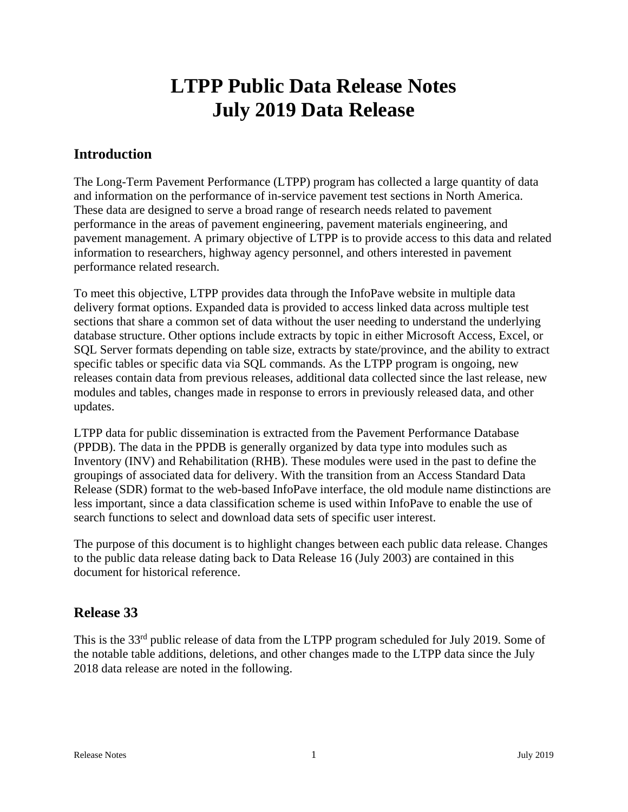# **LTPP Public Data Release Notes July 2019 Data Release**

# **Introduction**

The Long-Term Pavement Performance (LTPP) program has collected a large quantity of data and information on the performance of in-service pavement test sections in North America. These data are designed to serve a broad range of research needs related to pavement performance in the areas of pavement engineering, pavement materials engineering, and pavement management. A primary objective of LTPP is to provide access to this data and related information to researchers, highway agency personnel, and others interested in pavement performance related research.

To meet this objective, LTPP provides data through the InfoPave website in multiple data delivery format options. Expanded data is provided to access linked data across multiple test sections that share a common set of data without the user needing to understand the underlying database structure. Other options include extracts by topic in either Microsoft Access, Excel, or SQL Server formats depending on table size, extracts by state/province, and the ability to extract specific tables or specific data via SQL commands. As the LTPP program is ongoing, new releases contain data from previous releases, additional data collected since the last release, new modules and tables, changes made in response to errors in previously released data, and other updates.

LTPP data for public dissemination is extracted from the Pavement Performance Database (PPDB). The data in the PPDB is generally organized by data type into modules such as Inventory (INV) and Rehabilitation (RHB). These modules were used in the past to define the groupings of associated data for delivery. With the transition from an Access Standard Data Release (SDR) format to the web-based InfoPave interface, the old module name distinctions are less important, since a data classification scheme is used within InfoPave to enable the use of search functions to select and download data sets of specific user interest.

The purpose of this document is to highlight changes between each public data release. Changes to the public data release dating back to Data Release 16 (July 2003) are contained in this document for historical reference.

# **Release 33**

This is the 33<sup>rd</sup> public release of data from the LTPP program scheduled for July 2019. Some of the notable table additions, deletions, and other changes made to the LTPP data since the July 2018 data release are noted in the following.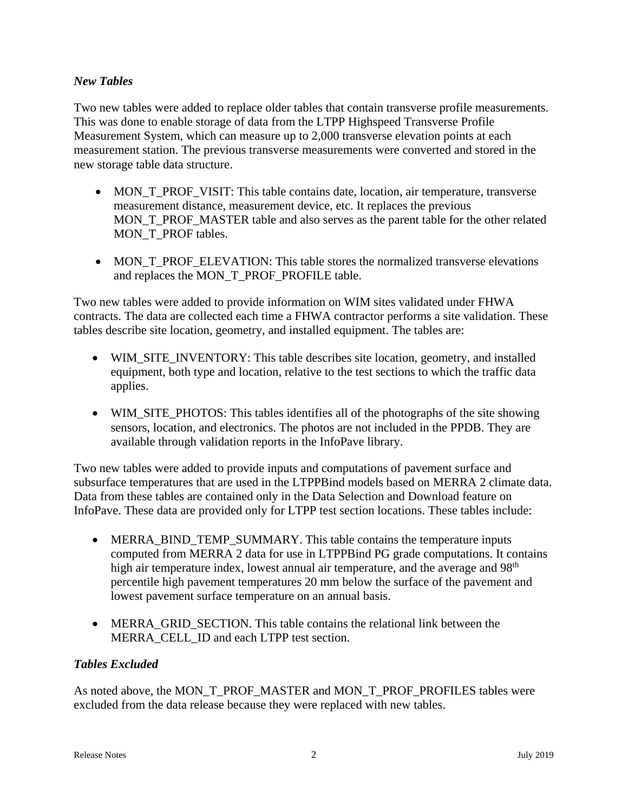#### *New Tables*

Two new tables were added to replace older tables that contain transverse profile measurements. This was done to enable storage of data from the LTPP Highspeed Transverse Profile Measurement System, which can measure up to 2,000 transverse elevation points at each measurement station. The previous transverse measurements were converted and stored in the new storage table data structure.

- MON\_T\_PROF\_VISIT: This table contains date, location, air temperature, transverse measurement distance, measurement device, etc. It replaces the previous MON\_T\_PROF\_MASTER table and also serves as the parent table for the other related MON\_T\_PROF tables.
- MON T\_PROF\_ELEVATION: This table stores the normalized transverse elevations and replaces the MON\_T\_PROF\_PROFILE table.

Two new tables were added to provide information on WIM sites validated under FHWA contracts. The data are collected each time a FHWA contractor performs a site validation. These tables describe site location, geometry, and installed equipment. The tables are:

- WIM\_SITE\_INVENTORY: This table describes site location, geometry, and installed equipment, both type and location, relative to the test sections to which the traffic data applies.
- WIM\_SITE\_PHOTOS: This tables identifies all of the photographs of the site showing sensors, location, and electronics. The photos are not included in the PPDB. They are available through validation reports in the InfoPave library.

Two new tables were added to provide inputs and computations of pavement surface and subsurface temperatures that are used in the LTPPBind models based on MERRA 2 climate data. Data from these tables are contained only in the Data Selection and Download feature on InfoPave. These data are provided only for LTPP test section locations. These tables include:

- MERRA\_BIND\_TEMP\_SUMMARY. This table contains the temperature inputs computed from MERRA 2 data for use in LTPPBind PG grade computations. It contains high air temperature index, lowest annual air temperature, and the average and 98<sup>th</sup> percentile high pavement temperatures 20 mm below the surface of the pavement and lowest pavement surface temperature on an annual basis.
- MERRA\_GRID\_SECTION. This table contains the relational link between the MERRA\_CELL\_ID and each LTPP test section.

## *Tables Excluded*

As noted above, the MON\_T\_PROF\_MASTER and MON\_T\_PROF\_PROFILES tables were excluded from the data release because they were replaced with new tables.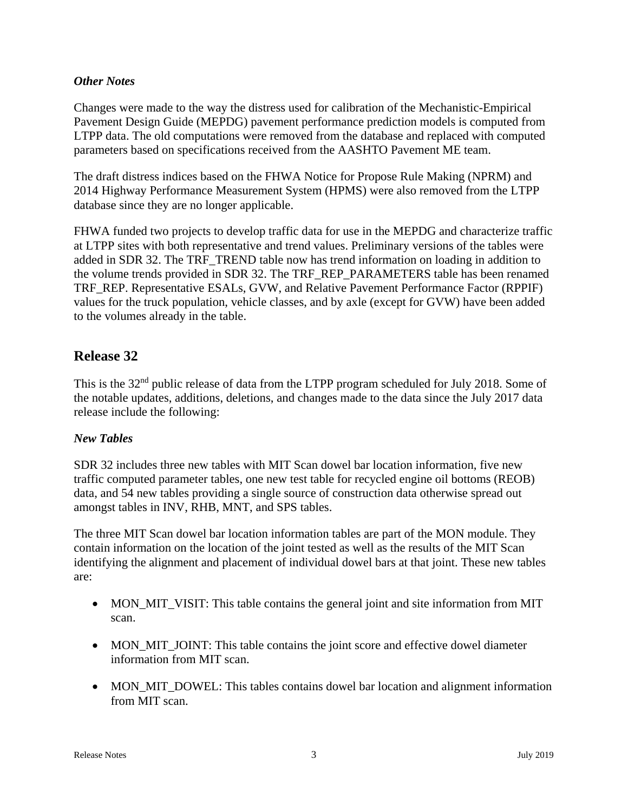#### *Other Notes*

Changes were made to the way the distress used for calibration of the Mechanistic-Empirical Pavement Design Guide (MEPDG) pavement performance prediction models is computed from LTPP data. The old computations were removed from the database and replaced with computed parameters based on specifications received from the AASHTO Pavement ME team.

The draft distress indices based on the FHWA Notice for Propose Rule Making (NPRM) and 2014 Highway Performance Measurement System (HPMS) were also removed from the LTPP database since they are no longer applicable.

FHWA funded two projects to develop traffic data for use in the MEPDG and characterize traffic at LTPP sites with both representative and trend values. Preliminary versions of the tables were added in SDR 32. The TRF\_TREND table now has trend information on loading in addition to the volume trends provided in SDR 32. The TRF\_REP\_PARAMETERS table has been renamed TRF\_REP. Representative ESALs, GVW, and Relative Pavement Performance Factor (RPPIF) values for the truck population, vehicle classes, and by axle (except for GVW) have been added to the volumes already in the table.

# **Release 32**

This is the 32<sup>nd</sup> public release of data from the LTPP program scheduled for July 2018. Some of the notable updates, additions, deletions, and changes made to the data since the July 2017 data release include the following:

#### *New Tables*

SDR 32 includes three new tables with MIT Scan dowel bar location information, five new traffic computed parameter tables, one new test table for recycled engine oil bottoms (REOB) data, and 54 new tables providing a single source of construction data otherwise spread out amongst tables in INV, RHB, MNT, and SPS tables.

The three MIT Scan dowel bar location information tables are part of the MON module. They contain information on the location of the joint tested as well as the results of the MIT Scan identifying the alignment and placement of individual dowel bars at that joint. These new tables are:

- MON\_MIT\_VISIT: This table contains the general joint and site information from MIT scan.
- MON\_MIT\_JOINT: This table contains the joint score and effective dowel diameter information from MIT scan.
- MON\_MIT\_DOWEL: This tables contains dowel bar location and alignment information from MIT scan.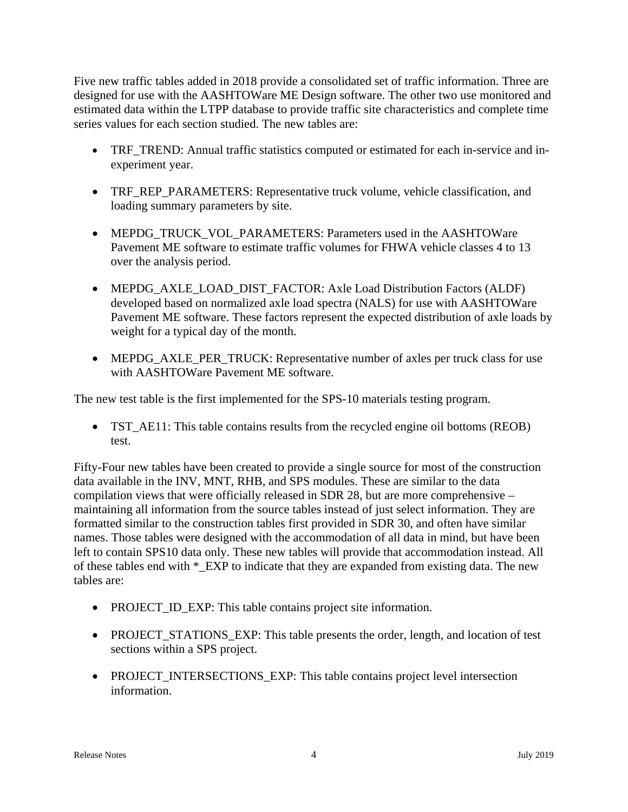Five new traffic tables added in 2018 provide a consolidated set of traffic information. Three are designed for use with the AASHTOWare ME Design software. The other two use monitored and estimated data within the LTPP database to provide traffic site characteristics and complete time series values for each section studied. The new tables are:

- TRF\_TREND: Annual traffic statistics computed or estimated for each in-service and inexperiment year.
- TRF\_REP\_PARAMETERS: Representative truck volume, vehicle classification, and loading summary parameters by site.
- MEPDG\_TRUCK\_VOL\_PARAMETERS: Parameters used in the AASHTOWare Pavement ME software to estimate traffic volumes for FHWA vehicle classes 4 to 13 over the analysis period.
- MEPDG\_AXLE\_LOAD\_DIST\_FACTOR: Axle Load Distribution Factors (ALDF) developed based on normalized axle load spectra (NALS) for use with AASHTOWare Pavement ME software. These factors represent the expected distribution of axle loads by weight for a typical day of the month.
- MEPDG\_AXLE\_PER\_TRUCK: Representative number of axles per truck class for use with AASHTOWare Pavement ME software.

The new test table is the first implemented for the SPS-10 materials testing program.

 TST\_AE11: This table contains results from the recycled engine oil bottoms (REOB) test.

Fifty-Four new tables have been created to provide a single source for most of the construction data available in the INV, MNT, RHB, and SPS modules. These are similar to the data compilation views that were officially released in SDR 28, but are more comprehensive – maintaining all information from the source tables instead of just select information. They are formatted similar to the construction tables first provided in SDR 30, and often have similar names. Those tables were designed with the accommodation of all data in mind, but have been left to contain SPS10 data only. These new tables will provide that accommodation instead. All of these tables end with \*\_EXP to indicate that they are expanded from existing data. The new tables are:

- PROJECT\_ID\_EXP: This table contains project site information.
- PROJECT\_STATIONS\_EXP: This table presents the order, length, and location of test sections within a SPS project.
- PROJECT\_INTERSECTIONS\_EXP: This table contains project level intersection information.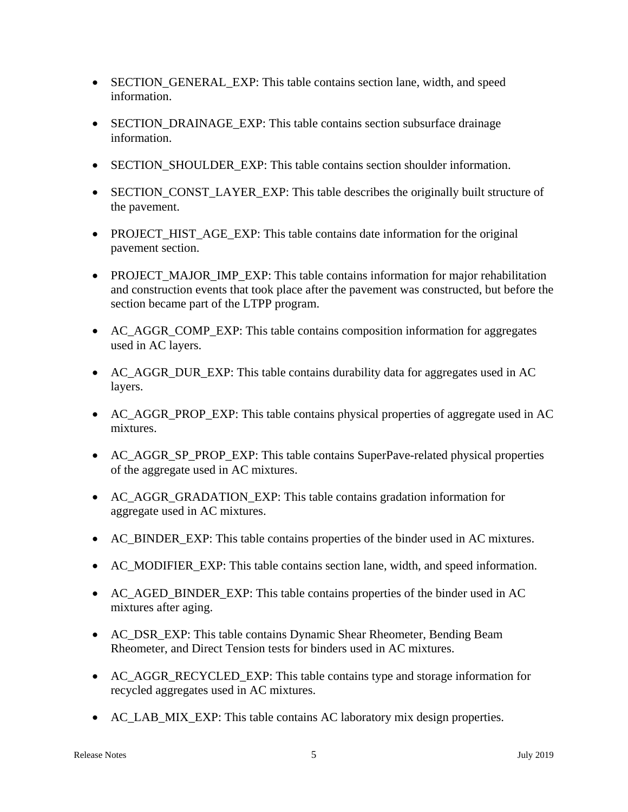- SECTION GENERAL EXP: This table contains section lane, width, and speed information.
- SECTION\_DRAINAGE\_EXP: This table contains section subsurface drainage information.
- SECTION SHOULDER EXP: This table contains section shoulder information.
- SECTION\_CONST\_LAYER\_EXP: This table describes the originally built structure of the pavement.
- PROJECT HIST AGE EXP: This table contains date information for the original pavement section.
- PROJECT MAJOR IMP EXP: This table contains information for major rehabilitation and construction events that took place after the pavement was constructed, but before the section became part of the LTPP program.
- AC\_AGGR\_COMP\_EXP: This table contains composition information for aggregates used in AC layers.
- AC\_AGGR\_DUR\_EXP: This table contains durability data for aggregates used in AC layers.
- AC\_AGGR\_PROP\_EXP: This table contains physical properties of aggregate used in AC mixtures.
- AC\_AGGR\_SP\_PROP\_EXP: This table contains SuperPave-related physical properties of the aggregate used in AC mixtures.
- AC\_AGGR\_GRADATION\_EXP: This table contains gradation information for aggregate used in AC mixtures.
- AC BINDER EXP: This table contains properties of the binder used in AC mixtures.
- AC\_MODIFIER\_EXP: This table contains section lane, width, and speed information.
- AC\_AGED\_BINDER\_EXP: This table contains properties of the binder used in AC mixtures after aging.
- AC\_DSR\_EXP: This table contains Dynamic Shear Rheometer, Bending Beam Rheometer, and Direct Tension tests for binders used in AC mixtures.
- AC\_AGGR\_RECYCLED\_EXP: This table contains type and storage information for recycled aggregates used in AC mixtures.
- AC\_LAB\_MIX\_EXP: This table contains AC laboratory mix design properties.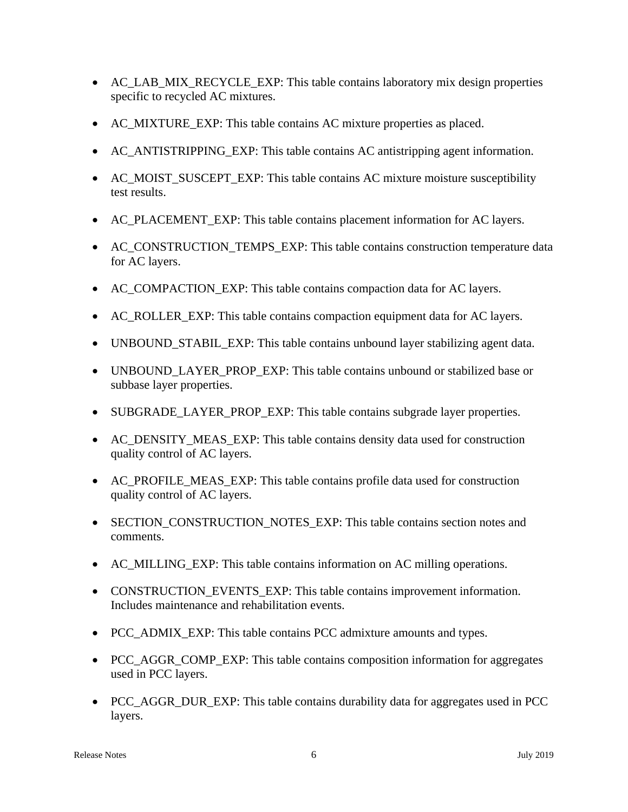- AC\_LAB\_MIX\_RECYCLE\_EXP: This table contains laboratory mix design properties specific to recycled AC mixtures.
- AC\_MIXTURE\_EXP: This table contains AC mixture properties as placed.
- AC\_ANTISTRIPPING\_EXP: This table contains AC antistripping agent information.
- AC\_MOIST\_SUSCEPT\_EXP: This table contains AC\_mixture moisture susceptibility test results.
- AC\_PLACEMENT\_EXP: This table contains placement information for AC layers.
- AC\_CONSTRUCTION\_TEMPS\_EXP: This table contains construction temperature data for AC layers.
- AC\_COMPACTION\_EXP: This table contains compaction data for AC layers.
- AC\_ROLLER\_EXP: This table contains compaction equipment data for AC layers.
- UNBOUND\_STABIL\_EXP: This table contains unbound layer stabilizing agent data.
- UNBOUND LAYER PROP EXP: This table contains unbound or stabilized base or subbase layer properties.
- SUBGRADE LAYER PROP EXP: This table contains subgrade layer properties.
- AC\_DENSITY\_MEAS\_EXP: This table contains density data used for construction quality control of AC layers.
- AC\_PROFILE\_MEAS\_EXP: This table contains profile data used for construction quality control of AC layers.
- SECTION\_CONSTRUCTION\_NOTES\_EXP: This table contains section notes and comments.
- AC\_MILLING\_EXP: This table contains information on AC milling operations.
- CONSTRUCTION EVENTS\_EXP: This table contains improvement information. Includes maintenance and rehabilitation events.
- PCC ADMIX EXP: This table contains PCC admixture amounts and types.
- PCC\_AGGR\_COMP\_EXP: This table contains composition information for aggregates used in PCC layers.
- PCC\_AGGR\_DUR\_EXP: This table contains durability data for aggregates used in PCC layers.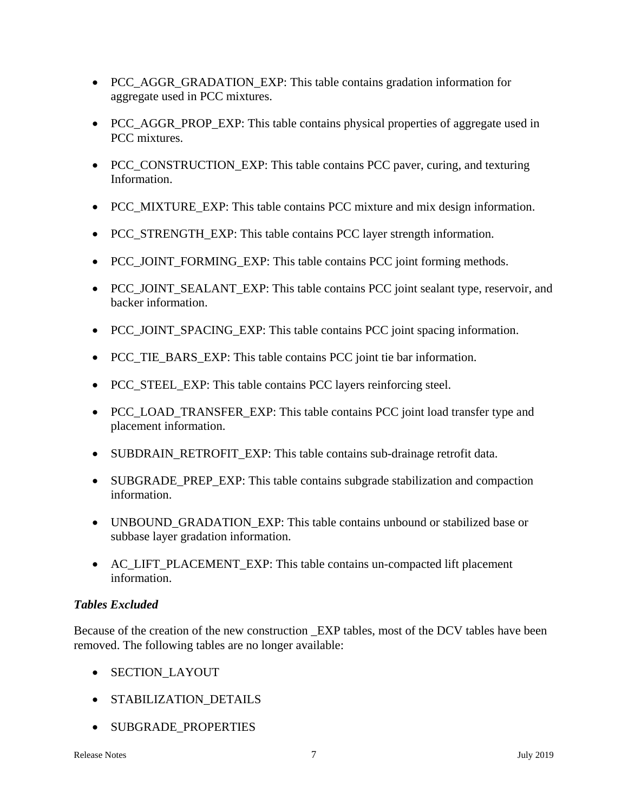- PCC\_AGGR\_GRADATION\_EXP: This table contains gradation information for aggregate used in PCC mixtures.
- PCC\_AGGR\_PROP\_EXP: This table contains physical properties of aggregate used in PCC mixtures.
- PCC\_CONSTRUCTION\_EXP: This table contains PCC paver, curing, and texturing Information.
- PCC\_MIXTURE\_EXP: This table contains PCC mixture and mix design information.
- PCC\_STRENGTH\_EXP: This table contains PCC layer strength information.
- PCC JOINT FORMING EXP: This table contains PCC joint forming methods.
- PCC\_JOINT\_SEALANT\_EXP: This table contains PCC joint sealant type, reservoir, and backer information.
- PCC JOINT SPACING EXP: This table contains PCC joint spacing information.
- PCC TIE BARS EXP: This table contains PCC joint tie bar information.
- PCC\_STEEL\_EXP: This table contains PCC layers reinforcing steel.
- PCC\_LOAD\_TRANSFER\_EXP: This table contains PCC joint load transfer type and placement information.
- SUBDRAIN\_RETROFIT\_EXP: This table contains sub-drainage retrofit data.
- SUBGRADE\_PREP\_EXP: This table contains subgrade stabilization and compaction information.
- UNBOUND\_GRADATION\_EXP: This table contains unbound or stabilized base or subbase layer gradation information.
- AC\_LIFT\_PLACEMENT\_EXP: This table contains un-compacted lift placement information.

## *Tables Excluded*

Because of the creation of the new construction \_EXP tables, most of the DCV tables have been removed. The following tables are no longer available:

- SECTION\_LAYOUT
- STABILIZATION DETAILS
- SUBGRADE\_PROPERTIES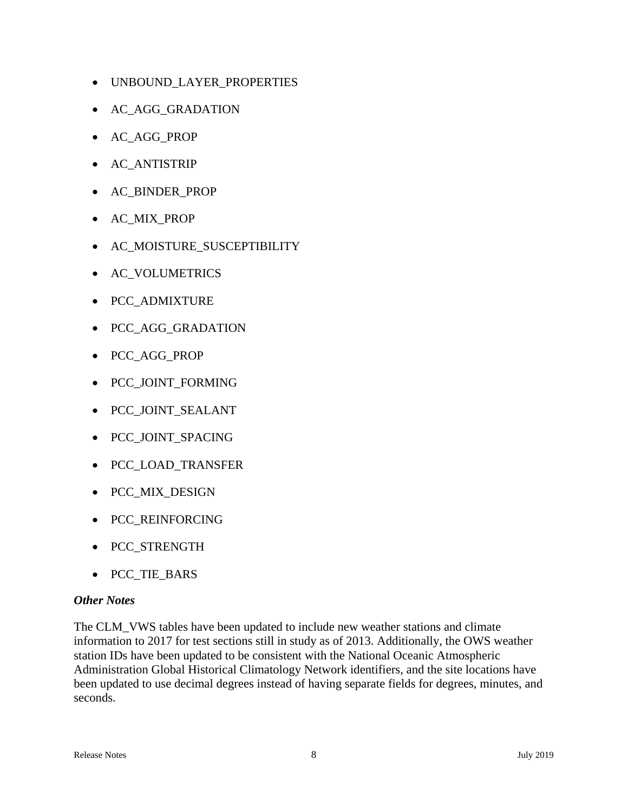- UNBOUND\_LAYER\_PROPERTIES
- AC\_AGG\_GRADATION
- AC\_AGG\_PROP
- AC\_ANTISTRIP
- AC\_BINDER\_PROP
- AC\_MIX\_PROP
- AC\_MOISTURE\_SUSCEPTIBILITY
- AC\_VOLUMETRICS
- PCC\_ADMIXTURE
- PCC\_AGG\_GRADATION
- PCC\_AGG\_PROP
- PCC\_JOINT\_FORMING
- PCC\_JOINT\_SEALANT
- PCC\_JOINT\_SPACING
- PCC\_LOAD\_TRANSFER
- PCC MIX DESIGN
- PCC\_REINFORCING
- PCC\_STRENGTH
- PCC\_TIE\_BARS

#### *Other Notes*

The CLM\_VWS tables have been updated to include new weather stations and climate information to 2017 for test sections still in study as of 2013. Additionally, the OWS weather station IDs have been updated to be consistent with the National Oceanic Atmospheric Administration Global Historical Climatology Network identifiers, and the site locations have been updated to use decimal degrees instead of having separate fields for degrees, minutes, and seconds.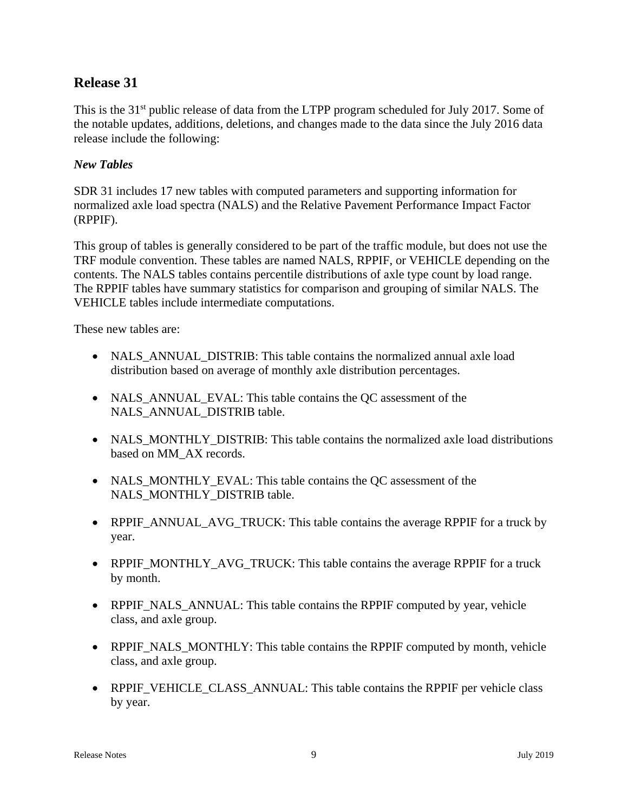# **Release 31**

This is the 31<sup>st</sup> public release of data from the LTPP program scheduled for July 2017. Some of the notable updates, additions, deletions, and changes made to the data since the July 2016 data release include the following:

#### *New Tables*

SDR 31 includes 17 new tables with computed parameters and supporting information for normalized axle load spectra (NALS) and the Relative Pavement Performance Impact Factor (RPPIF).

This group of tables is generally considered to be part of the traffic module, but does not use the TRF module convention. These tables are named NALS, RPPIF, or VEHICLE depending on the contents. The NALS tables contains percentile distributions of axle type count by load range. The RPPIF tables have summary statistics for comparison and grouping of similar NALS. The VEHICLE tables include intermediate computations.

These new tables are:

- NALS\_ANNUAL\_DISTRIB: This table contains the normalized annual axle load distribution based on average of monthly axle distribution percentages.
- NALS\_ANNUAL\_EVAL: This table contains the QC assessment of the NALS\_ANNUAL\_DISTRIB table.
- NALS\_MONTHLY\_DISTRIB: This table contains the normalized axle load distributions based on MM\_AX records.
- NALS\_MONTHLY\_EVAL: This table contains the QC assessment of the NALS\_MONTHLY\_DISTRIB table.
- RPPIF\_ANNUAL\_AVG\_TRUCK: This table contains the average RPPIF for a truck by year.
- RPPIF\_MONTHLY\_AVG\_TRUCK: This table contains the average RPPIF for a truck by month.
- RPPIF\_NALS\_ANNUAL: This table contains the RPPIF computed by year, vehicle class, and axle group.
- RPPIF\_NALS\_MONTHLY: This table contains the RPPIF computed by month, vehicle class, and axle group.
- RPPIF\_VEHICLE\_CLASS\_ANNUAL: This table contains the RPPIF per vehicle class by year.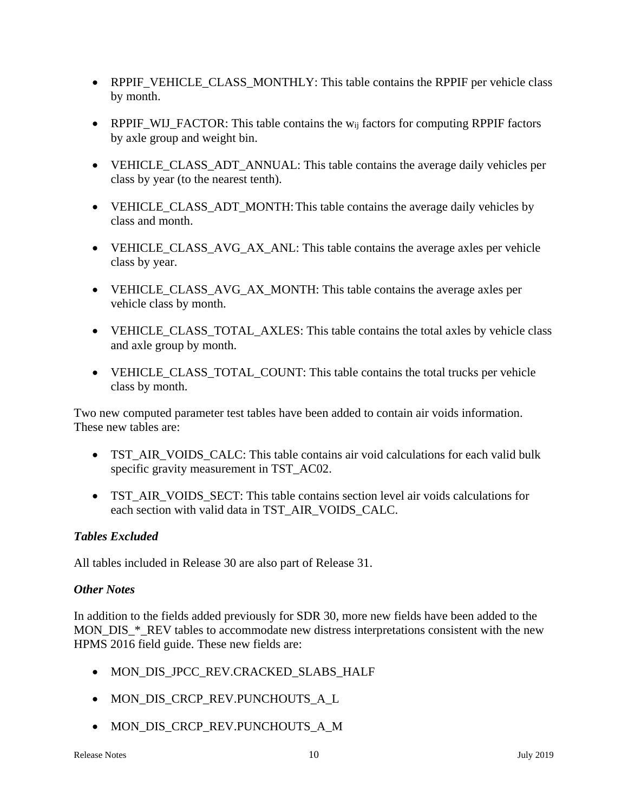- RPPIF\_VEHICLE\_CLASS\_MONTHLY: This table contains the RPPIF per vehicle class by month.
- RPPIF\_WIJ\_FACTOR: This table contains the  $w_{ij}$  factors for computing RPPIF factors by axle group and weight bin.
- VEHICLE CLASS ADT ANNUAL: This table contains the average daily vehicles per class by year (to the nearest tenth).
- VEHICLE\_CLASS\_ADT\_MONTH: This table contains the average daily vehicles by class and month.
- VEHICLE CLASS AVG AX ANL: This table contains the average axles per vehicle class by year.
- VEHICLE CLASS AVG AX MONTH: This table contains the average axles per vehicle class by month.
- VEHICLE\_CLASS\_TOTAL\_AXLES: This table contains the total axles by vehicle class and axle group by month.
- VEHICLE\_CLASS\_TOTAL\_COUNT: This table contains the total trucks per vehicle class by month.

Two new computed parameter test tables have been added to contain air voids information. These new tables are:

- TST\_AIR\_VOIDS\_CALC: This table contains air void calculations for each valid bulk specific gravity measurement in TST\_AC02.
- TST\_AIR\_VOIDS\_SECT: This table contains section level air voids calculations for each section with valid data in TST\_AIR\_VOIDS\_CALC.

## *Tables Excluded*

All tables included in Release 30 are also part of Release 31.

## *Other Notes*

In addition to the fields added previously for SDR 30, more new fields have been added to the MON DIS \* REV tables to accommodate new distress interpretations consistent with the new HPMS 2016 field guide. These new fields are:

- MON\_DIS\_JPCC\_REV.CRACKED\_SLABS\_HALF
- MON\_DIS\_CRCP\_REV.PUNCHOUTS\_A\_L
- MON\_DIS\_CRCP\_REV.PUNCHOUTS\_A\_M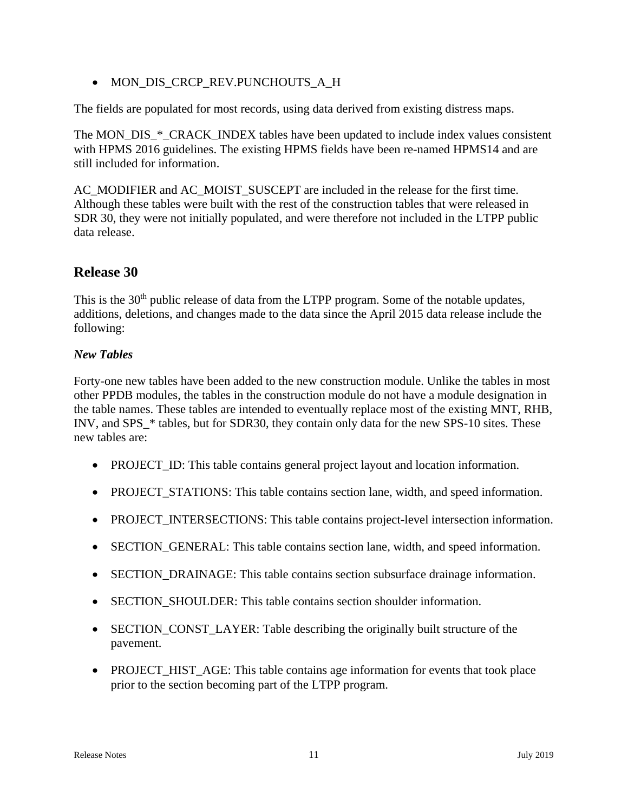MON\_DIS\_CRCP\_REV.PUNCHOUTS\_A\_H

The fields are populated for most records, using data derived from existing distress maps.

The MON\_DIS\_\*\_CRACK\_INDEX tables have been updated to include index values consistent with HPMS 2016 guidelines. The existing HPMS fields have been re-named HPMS14 and are still included for information.

AC\_MODIFIER and AC\_MOIST\_SUSCEPT are included in the release for the first time. Although these tables were built with the rest of the construction tables that were released in SDR 30, they were not initially populated, and were therefore not included in the LTPP public data release.

# **Release 30**

This is the 30<sup>th</sup> public release of data from the LTPP program. Some of the notable updates, additions, deletions, and changes made to the data since the April 2015 data release include the following:

## *New Tables*

Forty-one new tables have been added to the new construction module. Unlike the tables in most other PPDB modules, the tables in the construction module do not have a module designation in the table names. These tables are intended to eventually replace most of the existing MNT, RHB, INV, and SPS  $*$  tables, but for SDR30, they contain only data for the new SPS-10 sites. These new tables are:

- PROJECT ID: This table contains general project layout and location information.
- PROJECT STATIONS: This table contains section lane, width, and speed information.
- PROJECT INTERSECTIONS: This table contains project-level intersection information.
- SECTION\_GENERAL: This table contains section lane, width, and speed information.
- SECTION\_DRAINAGE: This table contains section subsurface drainage information.
- SECTION\_SHOULDER: This table contains section shoulder information.
- SECTION\_CONST\_LAYER: Table describing the originally built structure of the pavement.
- PROJECT\_HIST\_AGE: This table contains age information for events that took place prior to the section becoming part of the LTPP program.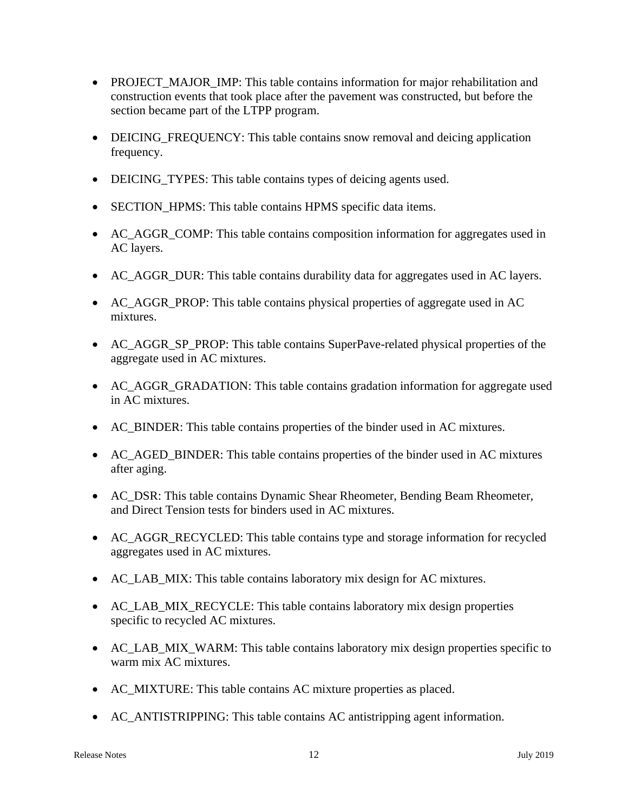- PROJECT MAJOR IMP: This table contains information for major rehabilitation and construction events that took place after the pavement was constructed, but before the section became part of the LTPP program.
- DEICING FREQUENCY: This table contains snow removal and deicing application frequency.
- DEICING\_TYPES: This table contains types of deicing agents used.
- SECTION\_HPMS: This table contains HPMS specific data items.
- AC\_AGGR\_COMP: This table contains composition information for aggregates used in AC layers.
- AC\_AGGR\_DUR: This table contains durability data for aggregates used in AC layers.
- AC\_AGGR\_PROP: This table contains physical properties of aggregate used in AC mixtures.
- AC\_AGGR\_SP\_PROP: This table contains SuperPave-related physical properties of the aggregate used in AC mixtures.
- AC\_AGGR\_GRADATION: This table contains gradation information for aggregate used in AC mixtures.
- AC\_BINDER: This table contains properties of the binder used in AC mixtures.
- AC\_AGED\_BINDER: This table contains properties of the binder used in AC mixtures after aging.
- AC\_DSR: This table contains Dynamic Shear Rheometer, Bending Beam Rheometer, and Direct Tension tests for binders used in AC mixtures.
- AC\_AGGR\_RECYCLED: This table contains type and storage information for recycled aggregates used in AC mixtures.
- AC\_LAB\_MIX: This table contains laboratory mix design for AC mixtures.
- AC\_LAB\_MIX\_RECYCLE: This table contains laboratory mix design properties specific to recycled AC mixtures.
- AC\_LAB\_MIX\_WARM: This table contains laboratory mix design properties specific to warm mix AC mixtures.
- AC\_MIXTURE: This table contains AC mixture properties as placed.
- AC\_ANTISTRIPPING: This table contains AC antistripping agent information.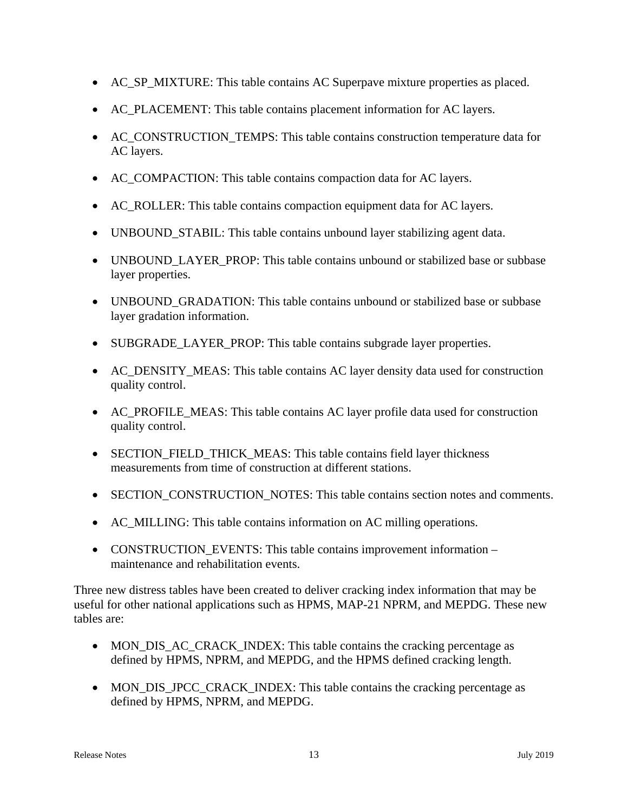- AC\_SP\_MIXTURE: This table contains AC Superpave mixture properties as placed.
- AC\_PLACEMENT: This table contains placement information for AC layers.
- AC\_CONSTRUCTION\_TEMPS: This table contains construction temperature data for AC layers.
- AC\_COMPACTION: This table contains compaction data for AC layers.
- AC\_ROLLER: This table contains compaction equipment data for AC layers.
- UNBOUND STABIL: This table contains unbound layer stabilizing agent data.
- UNBOUND LAYER PROP: This table contains unbound or stabilized base or subbase layer properties.
- UNBOUND\_GRADATION: This table contains unbound or stabilized base or subbase layer gradation information.
- SUBGRADE\_LAYER\_PROP: This table contains subgrade layer properties.
- AC DENSITY MEAS: This table contains AC layer density data used for construction quality control.
- AC PROFILE MEAS: This table contains AC layer profile data used for construction quality control.
- SECTION FIELD THICK MEAS: This table contains field layer thickness measurements from time of construction at different stations.
- SECTION CONSTRUCTION NOTES: This table contains section notes and comments.
- AC\_MILLING: This table contains information on AC milling operations.
- CONSTRUCTION EVENTS: This table contains improvement information maintenance and rehabilitation events.

Three new distress tables have been created to deliver cracking index information that may be useful for other national applications such as HPMS, MAP-21 NPRM, and MEPDG. These new tables are:

- MON DIS AC CRACK INDEX: This table contains the cracking percentage as defined by HPMS, NPRM, and MEPDG, and the HPMS defined cracking length.
- MON\_DIS\_JPCC\_CRACK\_INDEX: This table contains the cracking percentage as defined by HPMS, NPRM, and MEPDG.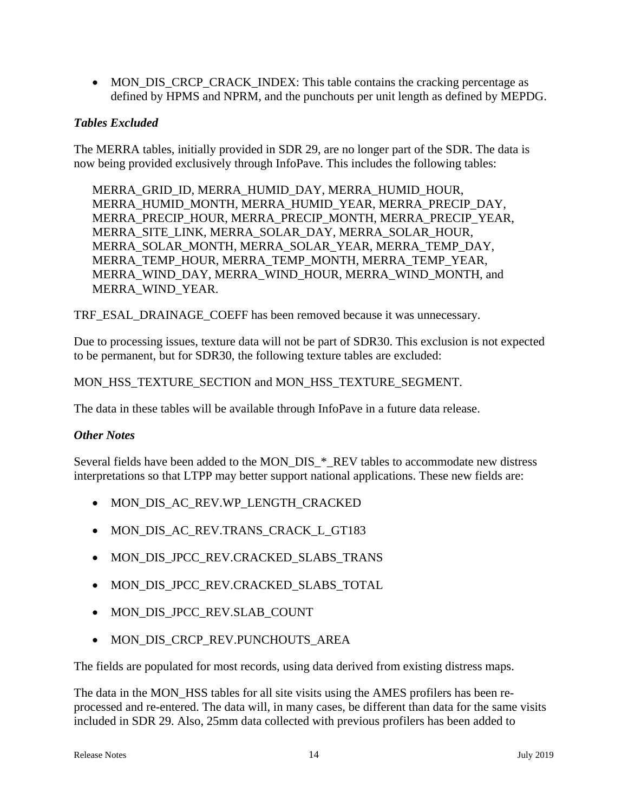• MON DIS CRCP CRACK INDEX: This table contains the cracking percentage as defined by HPMS and NPRM, and the punchouts per unit length as defined by MEPDG.

## *Tables Excluded*

The MERRA tables, initially provided in SDR 29, are no longer part of the SDR. The data is now being provided exclusively through InfoPave. This includes the following tables:

MERRA\_GRID\_ID, MERRA\_HUMID\_DAY, MERRA\_HUMID\_HOUR, MERRA\_HUMID\_MONTH, MERRA\_HUMID\_YEAR, MERRA\_PRECIP\_DAY, MERRA\_PRECIP\_HOUR, MERRA\_PRECIP\_MONTH, MERRA\_PRECIP\_YEAR, MERRA\_SITE\_LINK, MERRA\_SOLAR\_DAY, MERRA\_SOLAR\_HOUR, MERRA\_SOLAR\_MONTH, MERRA\_SOLAR\_YEAR, MERRA\_TEMP\_DAY, MERRA\_TEMP\_HOUR, MERRA\_TEMP\_MONTH, MERRA\_TEMP\_YEAR, MERRA\_WIND\_DAY, MERRA\_WIND\_HOUR, MERRA\_WIND\_MONTH, and MERRA\_WIND\_YEAR.

TRF\_ESAL\_DRAINAGE\_COEFF has been removed because it was unnecessary.

Due to processing issues, texture data will not be part of SDR30. This exclusion is not expected to be permanent, but for SDR30, the following texture tables are excluded:

#### MON\_HSS\_TEXTURE\_SECTION and MON\_HSS\_TEXTURE\_SEGMENT.

The data in these tables will be available through InfoPave in a future data release.

## *Other Notes*

Several fields have been added to the MON\_DIS\_\*\_REV tables to accommodate new distress interpretations so that LTPP may better support national applications. These new fields are:

- MON\_DIS\_AC\_REV.WP\_LENGTH\_CRACKED
- $\bullet$  MON DIS AC REV.TRANS CRACK L GT183
- MON\_DIS\_JPCC\_REV.CRACKED\_SLABS\_TRANS
- MON\_DIS\_JPCC\_REV.CRACKED\_SLABS\_TOTAL
- MON\_DIS\_JPCC\_REV.SLAB\_COUNT
- MON DIS CRCP REV.PUNCHOUTS AREA

The fields are populated for most records, using data derived from existing distress maps.

The data in the MON\_HSS tables for all site visits using the AMES profilers has been reprocessed and re-entered. The data will, in many cases, be different than data for the same visits included in SDR 29. Also, 25mm data collected with previous profilers has been added to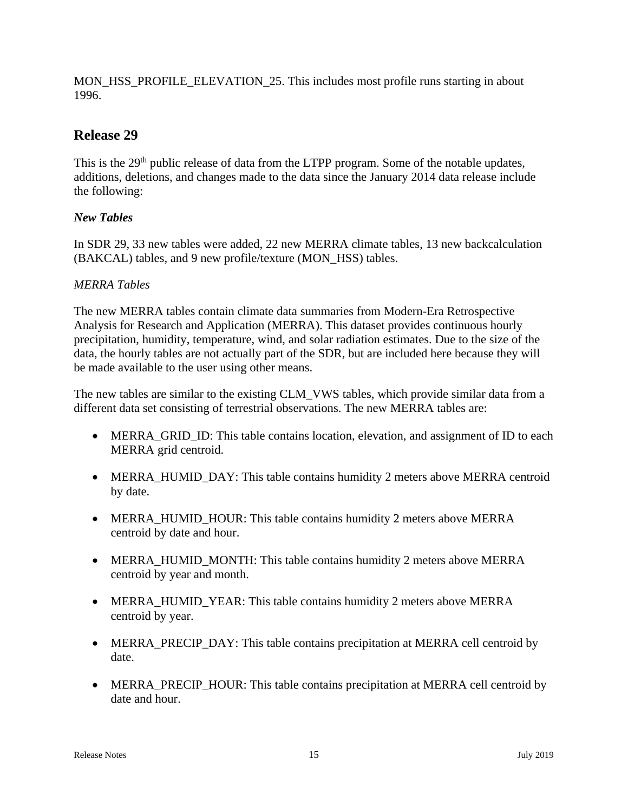MON\_HSS\_PROFILE\_ELEVATION\_25. This includes most profile runs starting in about 1996.

# **Release 29**

This is the 29<sup>th</sup> public release of data from the LTPP program. Some of the notable updates, additions, deletions, and changes made to the data since the January 2014 data release include the following:

## *New Tables*

In SDR 29, 33 new tables were added, 22 new MERRA climate tables, 13 new backcalculation (BAKCAL) tables, and 9 new profile/texture (MON\_HSS) tables.

## *MERRA Tables*

The new MERRA tables contain climate data summaries from Modern-Era Retrospective Analysis for Research and Application (MERRA). This dataset provides continuous hourly precipitation, humidity, temperature, wind, and solar radiation estimates. Due to the size of the data, the hourly tables are not actually part of the SDR, but are included here because they will be made available to the user using other means.

The new tables are similar to the existing CLM\_VWS tables, which provide similar data from a different data set consisting of terrestrial observations. The new MERRA tables are:

- MERRA GRID ID: This table contains location, elevation, and assignment of ID to each MERRA grid centroid.
- MERRA\_HUMID\_DAY: This table contains humidity 2 meters above MERRA centroid by date.
- MERRA\_HUMID\_HOUR: This table contains humidity 2 meters above MERRA centroid by date and hour.
- MERRA HUMID MONTH: This table contains humidity 2 meters above MERRA centroid by year and month.
- MERRA\_HUMID\_YEAR: This table contains humidity 2 meters above MERRA centroid by year.
- MERRA\_PRECIP\_DAY: This table contains precipitation at MERRA cell centroid by date.
- MERRA\_PRECIP\_HOUR: This table contains precipitation at MERRA cell centroid by date and hour.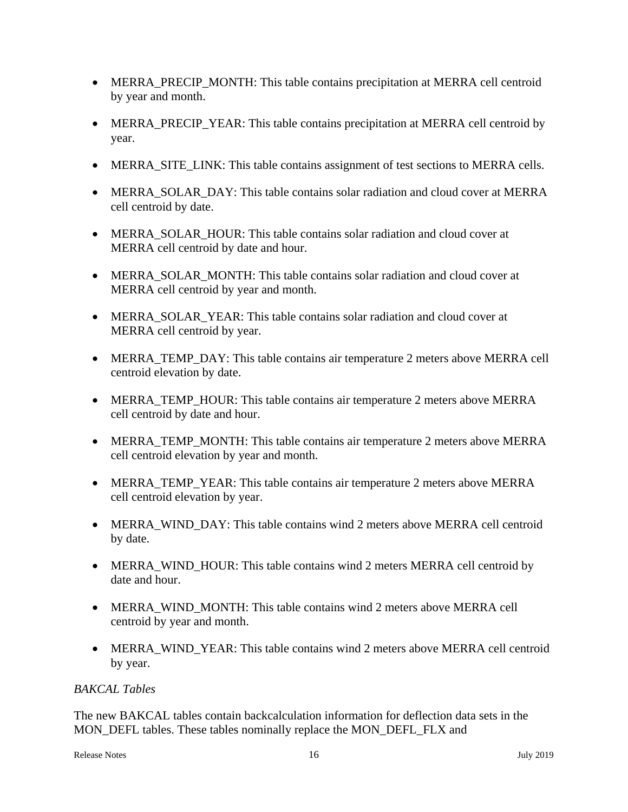- MERRA\_PRECIP\_MONTH: This table contains precipitation at MERRA cell centroid by year and month.
- MERRA\_PRECIP\_YEAR: This table contains precipitation at MERRA cell centroid by year.
- MERRA SITE LINK: This table contains assignment of test sections to MERRA cells.
- MERRA\_SOLAR\_DAY: This table contains solar radiation and cloud cover at MERRA cell centroid by date.
- MERRA SOLAR HOUR: This table contains solar radiation and cloud cover at MERRA cell centroid by date and hour.
- MERRA SOLAR MONTH: This table contains solar radiation and cloud cover at MERRA cell centroid by year and month.
- MERRA SOLAR YEAR: This table contains solar radiation and cloud cover at MERRA cell centroid by year.
- MERRA\_TEMP\_DAY: This table contains air temperature 2 meters above MERRA cell centroid elevation by date.
- MERRA\_TEMP\_HOUR: This table contains air temperature 2 meters above MERRA cell centroid by date and hour.
- MERRA TEMP MONTH: This table contains air temperature 2 meters above MERRA cell centroid elevation by year and month.
- MERRA TEMP YEAR: This table contains air temperature 2 meters above MERRA cell centroid elevation by year.
- MERRA WIND DAY: This table contains wind 2 meters above MERRA cell centroid by date.
- MERRA WIND HOUR: This table contains wind 2 meters MERRA cell centroid by date and hour.
- MERRA WIND MONTH: This table contains wind 2 meters above MERRA cell centroid by year and month.
- MERRA\_WIND\_YEAR: This table contains wind 2 meters above MERRA cell centroid by year.

## *BAKCAL Tables*

The new BAKCAL tables contain backcalculation information for deflection data sets in the MON\_DEFL tables. These tables nominally replace the MON\_DEFL\_FLX and

```
Release Notes 16 July 2019
```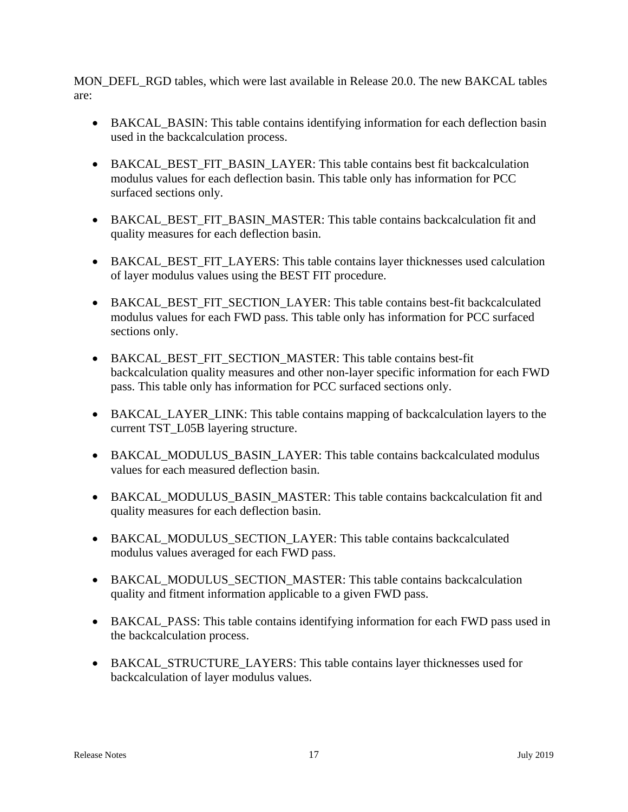MON\_DEFL\_RGD tables, which were last available in Release 20.0. The new BAKCAL tables are:

- BAKCAL\_BASIN: This table contains identifying information for each deflection basin used in the backcalculation process.
- BAKCAL BEST FIT BASIN LAYER: This table contains best fit backcalculation modulus values for each deflection basin. This table only has information for PCC surfaced sections only.
- BAKCAL\_BEST\_FIT\_BASIN\_MASTER: This table contains backcalculation fit and quality measures for each deflection basin.
- BAKCAL BEST FIT LAYERS: This table contains layer thicknesses used calculation of layer modulus values using the BEST FIT procedure.
- BAKCAL BEST FIT SECTION LAYER: This table contains best-fit backcalculated modulus values for each FWD pass. This table only has information for PCC surfaced sections only.
- BAKCAL\_BEST\_FIT\_SECTION\_MASTER: This table contains best-fit backcalculation quality measures and other non-layer specific information for each FWD pass. This table only has information for PCC surfaced sections only.
- BAKCAL LAYER LINK: This table contains mapping of backcalculation layers to the current TST\_L05B layering structure.
- BAKCAL\_MODULUS\_BASIN\_LAYER: This table contains backcalculated modulus values for each measured deflection basin.
- BAKCAL\_MODULUS\_BASIN\_MASTER: This table contains backcalculation fit and quality measures for each deflection basin.
- BAKCAL\_MODULUS\_SECTION\_LAYER: This table contains backcalculated modulus values averaged for each FWD pass.
- BAKCAL\_MODULUS\_SECTION\_MASTER: This table contains backcalculation quality and fitment information applicable to a given FWD pass.
- BAKCAL PASS: This table contains identifying information for each FWD pass used in the backcalculation process.
- BAKCAL STRUCTURE LAYERS: This table contains layer thicknesses used for backcalculation of layer modulus values.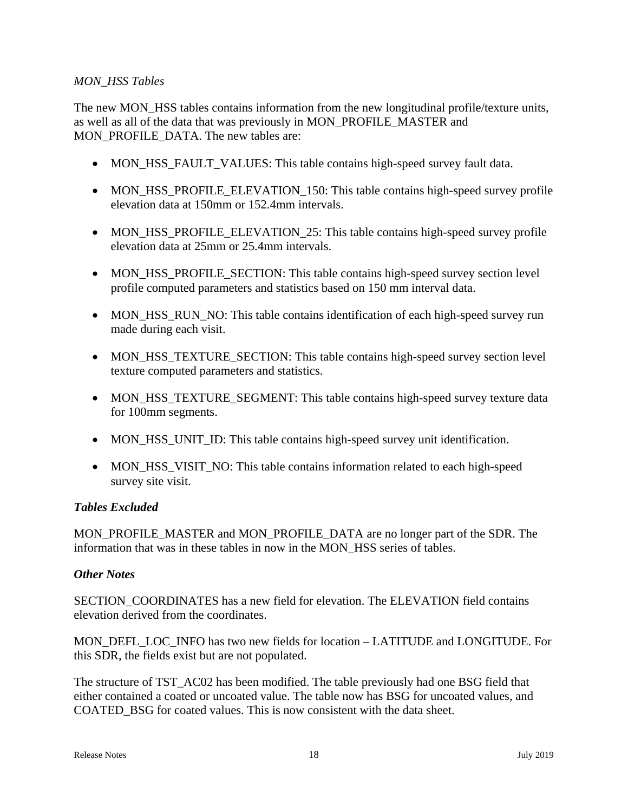#### *MON\_HSS Tables*

The new MON HSS tables contains information from the new longitudinal profile/texture units, as well as all of the data that was previously in MON\_PROFILE\_MASTER and MON\_PROFILE\_DATA. The new tables are:

- MON\_HSS\_FAULT\_VALUES: This table contains high-speed survey fault data.
- MON\_HSS\_PROFILE\_ELEVATION\_150: This table contains high-speed survey profile elevation data at 150mm or 152.4mm intervals.
- MON HSS PROFILE ELEVATION 25: This table contains high-speed survey profile elevation data at 25mm or 25.4mm intervals.
- MON HSS PROFILE SECTION: This table contains high-speed survey section level profile computed parameters and statistics based on 150 mm interval data.
- MON\_HSS\_RUN\_NO: This table contains identification of each high-speed survey run made during each visit.
- MON HSS TEXTURE SECTION: This table contains high-speed survey section level texture computed parameters and statistics.
- MON\_HSS\_TEXTURE\_SEGMENT: This table contains high-speed survey texture data for 100mm segments.
- MON\_HSS\_UNIT\_ID: This table contains high-speed survey unit identification.
- MON\_HSS\_VISIT\_NO: This table contains information related to each high-speed survey site visit.

#### *Tables Excluded*

MON\_PROFILE\_MASTER and MON\_PROFILE\_DATA are no longer part of the SDR. The information that was in these tables in now in the MON\_HSS series of tables.

#### *Other Notes*

SECTION COORDINATES has a new field for elevation. The ELEVATION field contains elevation derived from the coordinates.

MON\_DEFL\_LOC\_INFO has two new fields for location – LATITUDE and LONGITUDE. For this SDR, the fields exist but are not populated.

The structure of TST\_AC02 has been modified. The table previously had one BSG field that either contained a coated or uncoated value. The table now has BSG for uncoated values, and COATED\_BSG for coated values. This is now consistent with the data sheet.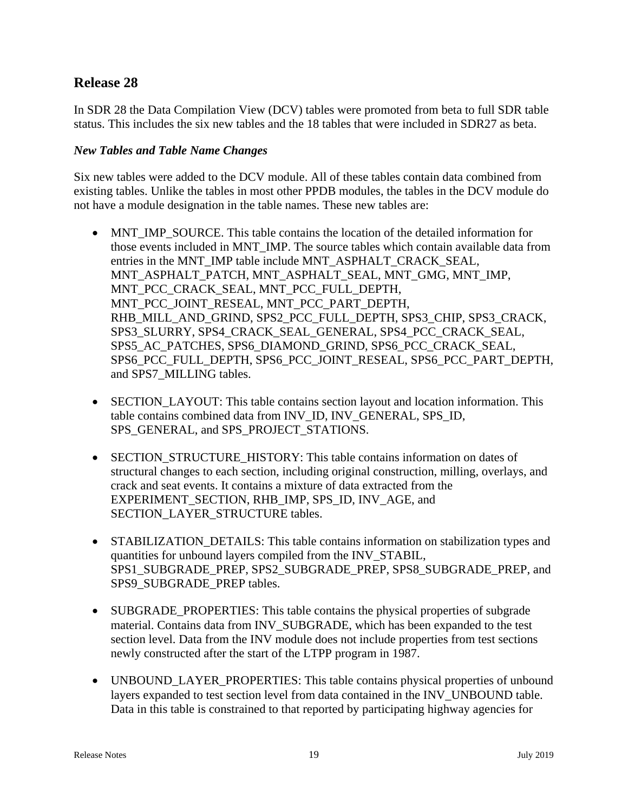# **Release 28**

In SDR 28 the Data Compilation View (DCV) tables were promoted from beta to full SDR table status. This includes the six new tables and the 18 tables that were included in SDR27 as beta.

#### *New Tables and Table Name Changes*

Six new tables were added to the DCV module. All of these tables contain data combined from existing tables. Unlike the tables in most other PPDB modules, the tables in the DCV module do not have a module designation in the table names. These new tables are:

- MNT\_IMP\_SOURCE. This table contains the location of the detailed information for those events included in MNT\_IMP. The source tables which contain available data from entries in the MNT\_IMP table include MNT\_ASPHALT\_CRACK\_SEAL, MNT\_ASPHALT\_PATCH, MNT\_ASPHALT\_SEAL, MNT\_GMG, MNT\_IMP, MNT\_PCC\_CRACK\_SEAL, MNT\_PCC\_FULL\_DEPTH, MNT\_PCC\_JOINT\_RESEAL, MNT\_PCC\_PART\_DEPTH, RHB\_MILL\_AND\_GRIND, SPS2\_PCC\_FULL\_DEPTH, SPS3\_CHIP, SPS3\_CRACK, SPS3\_SLURRY, SPS4\_CRACK\_SEAL\_GENERAL, SPS4\_PCC\_CRACK\_SEAL, SPS5\_AC\_PATCHES, SPS6\_DIAMOND\_GRIND, SPS6\_PCC\_CRACK\_SEAL, SPS6\_PCC\_FULL\_DEPTH, SPS6\_PCC\_JOINT\_RESEAL, SPS6\_PCC\_PART\_DEPTH, and SPS7\_MILLING tables.
- SECTION LAYOUT: This table contains section layout and location information. This table contains combined data from INV\_ID, INV\_GENERAL, SPS\_ID, SPS\_GENERAL, and SPS\_PROJECT\_STATIONS.
- SECTION STRUCTURE HISTORY: This table contains information on dates of structural changes to each section, including original construction, milling, overlays, and crack and seat events. It contains a mixture of data extracted from the EXPERIMENT\_SECTION, RHB\_IMP, SPS\_ID, INV\_AGE, and SECTION\_LAYER\_STRUCTURE tables.
- STABILIZATION DETAILS: This table contains information on stabilization types and quantities for unbound layers compiled from the INV\_STABIL, SPS1\_SUBGRADE\_PREP, SPS2\_SUBGRADE\_PREP, SPS8\_SUBGRADE\_PREP, and SPS9\_SUBGRADE\_PREP tables.
- SUBGRADE\_PROPERTIES: This table contains the physical properties of subgrade material. Contains data from INV\_SUBGRADE, which has been expanded to the test section level. Data from the INV module does not include properties from test sections newly constructed after the start of the LTPP program in 1987.
- UNBOUND\_LAYER\_PROPERTIES: This table contains physical properties of unbound layers expanded to test section level from data contained in the INV\_UNBOUND table. Data in this table is constrained to that reported by participating highway agencies for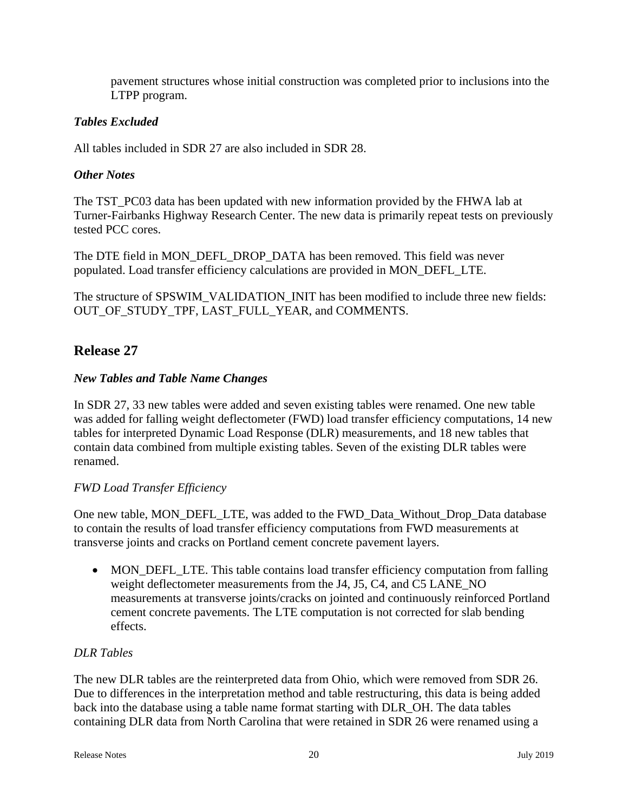pavement structures whose initial construction was completed prior to inclusions into the LTPP program.

## *Tables Excluded*

All tables included in SDR 27 are also included in SDR 28.

#### *Other Notes*

The TST PC03 data has been updated with new information provided by the FHWA lab at Turner-Fairbanks Highway Research Center. The new data is primarily repeat tests on previously tested PCC cores.

The DTE field in MON\_DEFL\_DROP\_DATA has been removed. This field was never populated. Load transfer efficiency calculations are provided in MON\_DEFL\_LTE.

The structure of SPSWIM\_VALIDATION\_INIT has been modified to include three new fields: OUT OF STUDY TPF, LAST FULL YEAR, and COMMENTS.

# **Release 27**

## *New Tables and Table Name Changes*

In SDR 27, 33 new tables were added and seven existing tables were renamed. One new table was added for falling weight deflectometer (FWD) load transfer efficiency computations, 14 new tables for interpreted Dynamic Load Response (DLR) measurements, and 18 new tables that contain data combined from multiple existing tables. Seven of the existing DLR tables were renamed.

## *FWD Load Transfer Efficiency*

One new table, MON\_DEFL\_LTE, was added to the FWD\_Data\_Without\_Drop\_Data database to contain the results of load transfer efficiency computations from FWD measurements at transverse joints and cracks on Portland cement concrete pavement layers.

• MON\_DEFL\_LTE. This table contains load transfer efficiency computation from falling weight deflectometer measurements from the J4, J5, C4, and C5 LANE\_NO measurements at transverse joints/cracks on jointed and continuously reinforced Portland cement concrete pavements. The LTE computation is not corrected for slab bending effects.

## *DLR Tables*

The new DLR tables are the reinterpreted data from Ohio, which were removed from SDR 26. Due to differences in the interpretation method and table restructuring, this data is being added back into the database using a table name format starting with DLR\_OH. The data tables containing DLR data from North Carolina that were retained in SDR 26 were renamed using a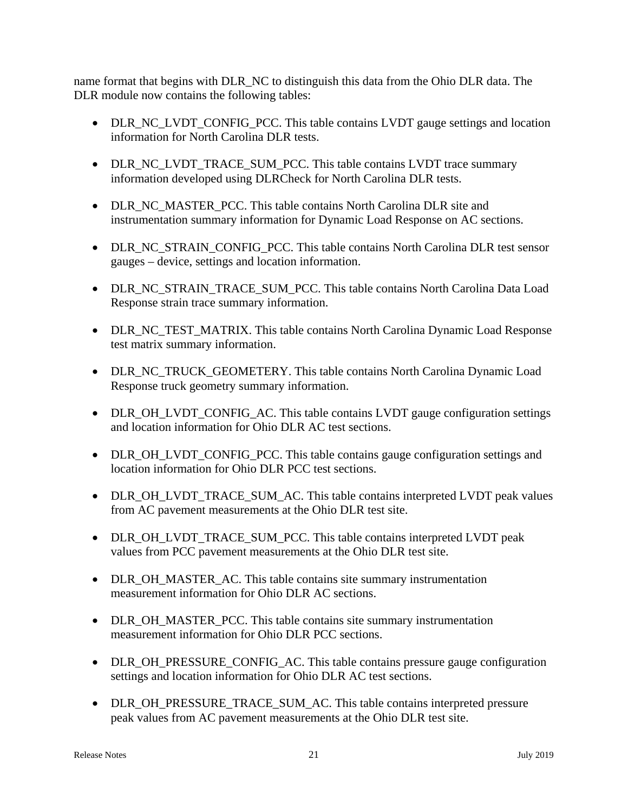name format that begins with DLR\_NC to distinguish this data from the Ohio DLR data. The DLR module now contains the following tables:

- DLR\_NC\_LVDT\_CONFIG\_PCC. This table contains LVDT gauge settings and location information for North Carolina DLR tests.
- DLR\_NC\_LVDT\_TRACE\_SUM\_PCC. This table contains LVDT trace summary information developed using DLRCheck for North Carolina DLR tests.
- DLR\_NC\_MASTER\_PCC. This table contains North Carolina DLR site and instrumentation summary information for Dynamic Load Response on AC sections.
- DLR\_NC\_STRAIN\_CONFIG\_PCC. This table contains North Carolina DLR test sensor gauges – device, settings and location information.
- DLR\_NC\_STRAIN\_TRACE\_SUM\_PCC. This table contains North Carolina Data Load Response strain trace summary information.
- DLR\_NC\_TEST\_MATRIX. This table contains North Carolina Dynamic Load Response test matrix summary information.
- DLR\_NC\_TRUCK\_GEOMETERY. This table contains North Carolina Dynamic Load Response truck geometry summary information.
- DLR\_OH\_LVDT\_CONFIG\_AC. This table contains LVDT gauge configuration settings and location information for Ohio DLR AC test sections.
- DLR\_OH\_LVDT\_CONFIG\_PCC. This table contains gauge configuration settings and location information for Ohio DLR PCC test sections.
- DLR\_OH\_LVDT\_TRACE\_SUM\_AC. This table contains interpreted LVDT peak values from AC pavement measurements at the Ohio DLR test site.
- DLR\_OH\_LVDT\_TRACE\_SUM\_PCC. This table contains interpreted LVDT peak values from PCC pavement measurements at the Ohio DLR test site.
- DLR\_OH\_MASTER\_AC. This table contains site summary instrumentation measurement information for Ohio DLR AC sections.
- DLR\_OH\_MASTER\_PCC. This table contains site summary instrumentation measurement information for Ohio DLR PCC sections.
- DLR OH\_PRESSURE\_CONFIG\_AC. This table contains pressure gauge configuration settings and location information for Ohio DLR AC test sections.
- DLR\_OH\_PRESSURE\_TRACE\_SUM\_AC. This table contains interpreted pressure peak values from AC pavement measurements at the Ohio DLR test site.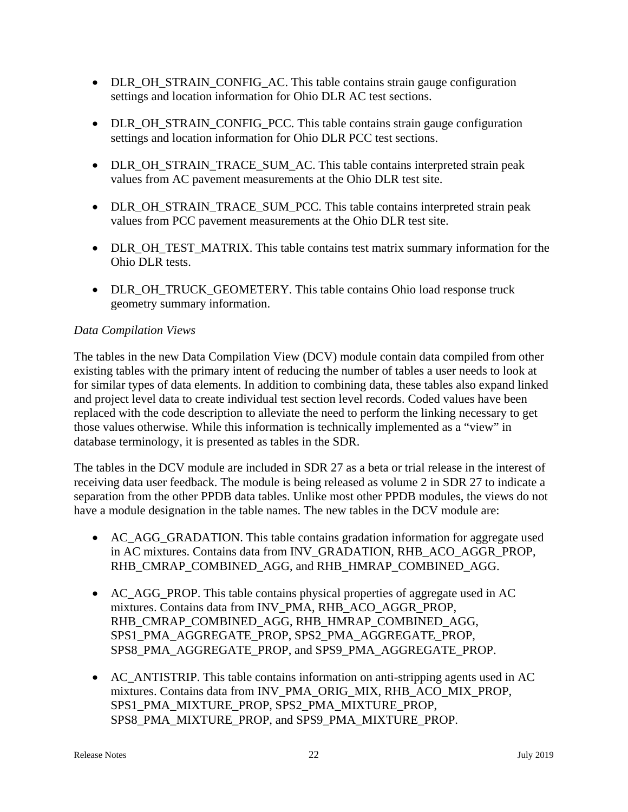- DLR\_OH\_STRAIN\_CONFIG\_AC. This table contains strain gauge configuration settings and location information for Ohio DLR AC test sections.
- DLR\_OH\_STRAIN\_CONFIG\_PCC. This table contains strain gauge configuration settings and location information for Ohio DLR PCC test sections.
- DLR\_OH\_STRAIN\_TRACE\_SUM\_AC. This table contains interpreted strain peak values from AC pavement measurements at the Ohio DLR test site.
- DLR\_OH\_STRAIN\_TRACE\_SUM\_PCC. This table contains interpreted strain peak values from PCC pavement measurements at the Ohio DLR test site.
- DLR\_OH\_TEST\_MATRIX. This table contains test matrix summary information for the Ohio DLR tests.
- DLR\_OH\_TRUCK\_GEOMETERY. This table contains Ohio load response truck geometry summary information.

#### *Data Compilation Views*

The tables in the new Data Compilation View (DCV) module contain data compiled from other existing tables with the primary intent of reducing the number of tables a user needs to look at for similar types of data elements. In addition to combining data, these tables also expand linked and project level data to create individual test section level records. Coded values have been replaced with the code description to alleviate the need to perform the linking necessary to get those values otherwise. While this information is technically implemented as a "view" in database terminology, it is presented as tables in the SDR.

The tables in the DCV module are included in SDR 27 as a beta or trial release in the interest of receiving data user feedback. The module is being released as volume 2 in SDR 27 to indicate a separation from the other PPDB data tables. Unlike most other PPDB modules, the views do not have a module designation in the table names. The new tables in the DCV module are:

- AC\_AGG\_GRADATION. This table contains gradation information for aggregate used in AC mixtures. Contains data from INV\_GRADATION, RHB\_ACO\_AGGR\_PROP, RHB\_CMRAP\_COMBINED\_AGG, and RHB\_HMRAP\_COMBINED\_AGG.
- AC AGG PROP. This table contains physical properties of aggregate used in AC mixtures. Contains data from INV\_PMA, RHB\_ACO\_AGGR\_PROP, RHB\_CMRAP\_COMBINED\_AGG, RHB\_HMRAP\_COMBINED\_AGG, SPS1\_PMA\_AGGREGATE\_PROP, SPS2\_PMA\_AGGREGATE\_PROP, SPS8\_PMA\_AGGREGATE\_PROP, and SPS9\_PMA\_AGGREGATE\_PROP.
- AC ANTISTRIP. This table contains information on anti-stripping agents used in AC mixtures. Contains data from INV\_PMA\_ORIG\_MIX, RHB\_ACO\_MIX\_PROP, SPS1\_PMA\_MIXTURE\_PROP, SPS2\_PMA\_MIXTURE\_PROP, SPS8\_PMA\_MIXTURE\_PROP, and SPS9\_PMA\_MIXTURE\_PROP.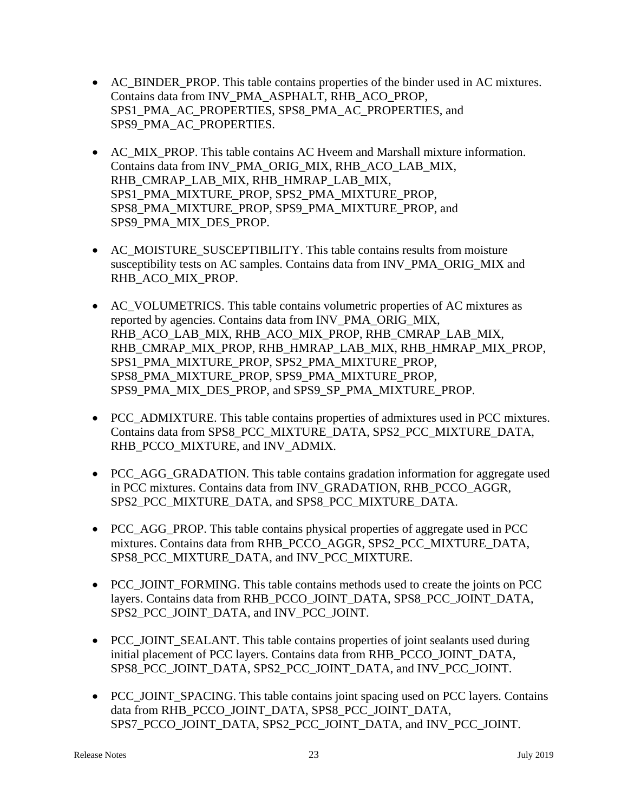- AC BINDER PROP. This table contains properties of the binder used in AC mixtures. Contains data from INV\_PMA\_ASPHALT, RHB\_ACO\_PROP, SPS1\_PMA\_AC\_PROPERTIES, SPS8\_PMA\_AC\_PROPERTIES, and SPS9\_PMA\_AC\_PROPERTIES.
- AC\_MIX\_PROP. This table contains AC Hveem and Marshall mixture information. Contains data from INV\_PMA\_ORIG\_MIX, RHB\_ACO\_LAB\_MIX, RHB\_CMRAP\_LAB\_MIX, RHB\_HMRAP\_LAB\_MIX, SPS1\_PMA\_MIXTURE\_PROP, SPS2\_PMA\_MIXTURE\_PROP, SPS8\_PMA\_MIXTURE\_PROP, SPS9\_PMA\_MIXTURE\_PROP, and SPS9\_PMA\_MIX\_DES\_PROP.
- AC\_MOISTURE\_SUSCEPTIBILITY. This table contains results from moisture susceptibility tests on AC samples. Contains data from INV\_PMA\_ORIG\_MIX and RHB\_ACO\_MIX\_PROP.
- AC VOLUMETRICS. This table contains volumetric properties of AC mixtures as reported by agencies. Contains data from INV\_PMA\_ORIG\_MIX, RHB\_ACO\_LAB\_MIX, RHB\_ACO\_MIX\_PROP, RHB\_CMRAP\_LAB\_MIX, RHB\_CMRAP\_MIX\_PROP, RHB\_HMRAP\_LAB\_MIX, RHB\_HMRAP\_MIX\_PROP, SPS1\_PMA\_MIXTURE\_PROP, SPS2\_PMA\_MIXTURE\_PROP, SPS8\_PMA\_MIXTURE\_PROP, SPS9\_PMA\_MIXTURE\_PROP, SPS9\_PMA\_MIX\_DES\_PROP, and SPS9\_SP\_PMA\_MIXTURE\_PROP.
- PCC\_ADMIXTURE. This table contains properties of admixtures used in PCC mixtures. Contains data from SPS8\_PCC\_MIXTURE\_DATA, SPS2\_PCC\_MIXTURE\_DATA, RHB\_PCCO\_MIXTURE, and INV\_ADMIX.
- PCC AGG GRADATION. This table contains gradation information for aggregate used in PCC mixtures. Contains data from INV\_GRADATION, RHB\_PCCO\_AGGR, SPS2\_PCC\_MIXTURE\_DATA, and SPS8\_PCC\_MIXTURE\_DATA.
- PCC\_AGG\_PROP. This table contains physical properties of aggregate used in PCC mixtures. Contains data from RHB\_PCCO\_AGGR, SPS2\_PCC\_MIXTURE\_DATA, SPS8\_PCC\_MIXTURE\_DATA, and INV\_PCC\_MIXTURE.
- PCC\_JOINT\_FORMING. This table contains methods used to create the joints on PCC layers. Contains data from RHB\_PCCO\_JOINT\_DATA, SPS8\_PCC\_JOINT\_DATA, SPS2\_PCC\_JOINT\_DATA, and INV\_PCC\_JOINT.
- PCC JOINT SEALANT. This table contains properties of joint sealants used during initial placement of PCC layers. Contains data from RHB\_PCCO\_JOINT\_DATA, SPS8\_PCC\_JOINT\_DATA, SPS2\_PCC\_JOINT\_DATA, and INV\_PCC\_JOINT.
- PCC JOINT SPACING. This table contains joint spacing used on PCC layers. Contains data from RHB\_PCCO\_JOINT\_DATA, SPS8\_PCC\_JOINT\_DATA, SPS7\_PCCO\_JOINT\_DATA, SPS2\_PCC\_JOINT\_DATA, and INV\_PCC\_JOINT.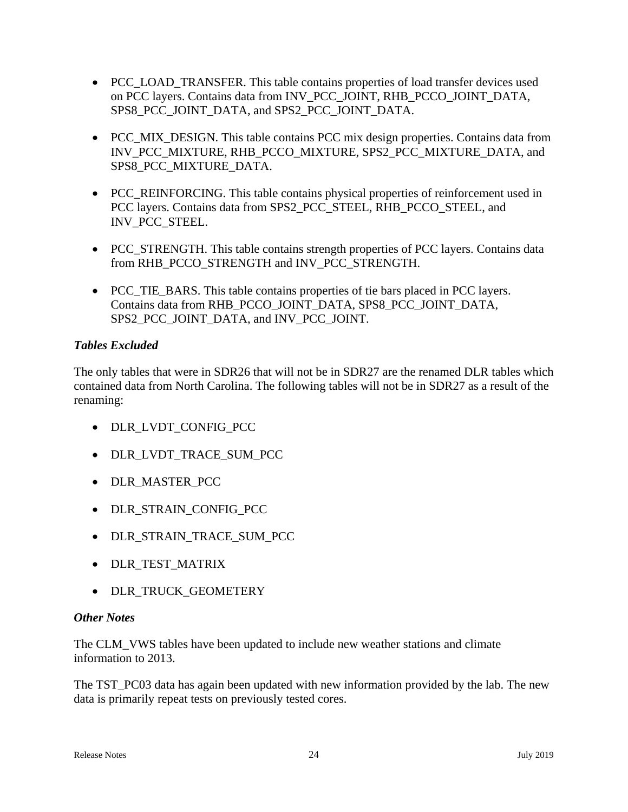- PCC LOAD TRANSFER. This table contains properties of load transfer devices used on PCC layers. Contains data from INV\_PCC\_JOINT, RHB\_PCCO\_JOINT\_DATA, SPS8\_PCC\_JOINT\_DATA, and SPS2\_PCC\_JOINT\_DATA.
- PCC MIX DESIGN. This table contains PCC mix design properties. Contains data from INV\_PCC\_MIXTURE, RHB\_PCCO\_MIXTURE, SPS2\_PCC\_MIXTURE\_DATA, and SPS8\_PCC\_MIXTURE\_DATA.
- PCC\_REINFORCING. This table contains physical properties of reinforcement used in PCC layers. Contains data from SPS2\_PCC\_STEEL, RHB\_PCCO\_STEEL, and INV\_PCC\_STEEL.
- PCC STRENGTH. This table contains strength properties of PCC layers. Contains data from RHB\_PCCO\_STRENGTH and INV\_PCC\_STRENGTH.
- PCC TIE BARS. This table contains properties of tie bars placed in PCC layers. Contains data from RHB\_PCCO\_JOINT\_DATA, SPS8\_PCC\_JOINT\_DATA, SPS2\_PCC\_JOINT\_DATA, and INV\_PCC\_JOINT.

## *Tables Excluded*

The only tables that were in SDR26 that will not be in SDR27 are the renamed DLR tables which contained data from North Carolina. The following tables will not be in SDR27 as a result of the renaming:

- DLR LVDT CONFIG PCC
- DLR\_LVDT\_TRACE\_SUM\_PCC
- DLR MASTER PCC
- DLR\_STRAIN\_CONFIG\_PCC
- DLR STRAIN TRACE SUM PCC
- DLR\_TEST\_MATRIX
- DLR\_TRUCK\_GEOMETERY

## *Other Notes*

The CLM\_VWS tables have been updated to include new weather stations and climate information to 2013.

The TST PC03 data has again been updated with new information provided by the lab. The new data is primarily repeat tests on previously tested cores.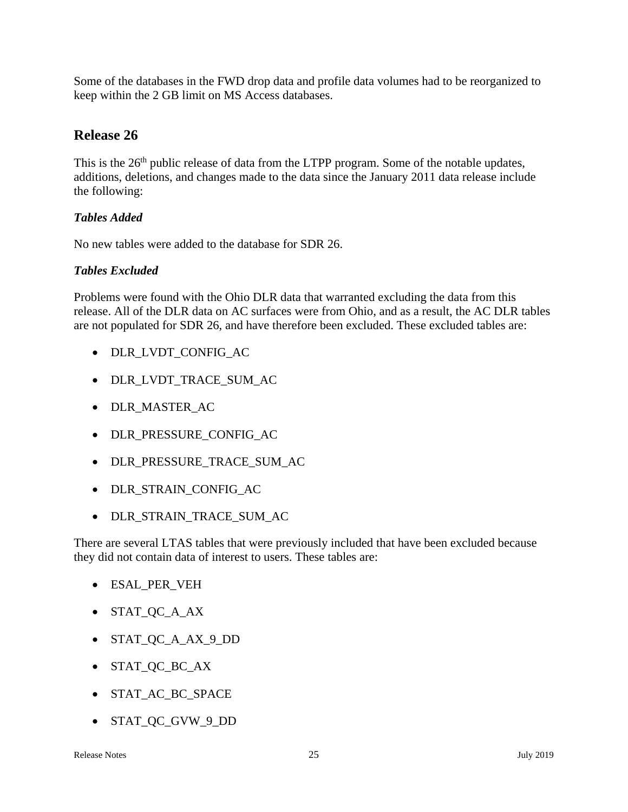Some of the databases in the FWD drop data and profile data volumes had to be reorganized to keep within the 2 GB limit on MS Access databases.

# **Release 26**

This is the 26<sup>th</sup> public release of data from the LTPP program. Some of the notable updates, additions, deletions, and changes made to the data since the January 2011 data release include the following:

## *Tables Added*

No new tables were added to the database for SDR 26.

## *Tables Excluded*

Problems were found with the Ohio DLR data that warranted excluding the data from this release. All of the DLR data on AC surfaces were from Ohio, and as a result, the AC DLR tables are not populated for SDR 26, and have therefore been excluded. These excluded tables are:

- DLR\_LVDT\_CONFIG\_AC
- DLR\_LVDT\_TRACE\_SUM\_AC
- DLR MASTER AC
- DLR\_PRESSURE\_CONFIG\_AC
- DLR\_PRESSURE\_TRACE\_SUM\_AC
- DLR\_STRAIN\_CONFIG\_AC
- DLR\_STRAIN\_TRACE\_SUM\_AC

There are several LTAS tables that were previously included that have been excluded because they did not contain data of interest to users. These tables are:

- ESAL\_PER\_VEH
- STAT\_QC\_A\_AX
- STAT\_QC\_A\_AX\_9\_DD
- STAT\_QC\_BC\_AX
- STAT AC BC SPACE
- STAT\_QC\_GVW\_9\_DD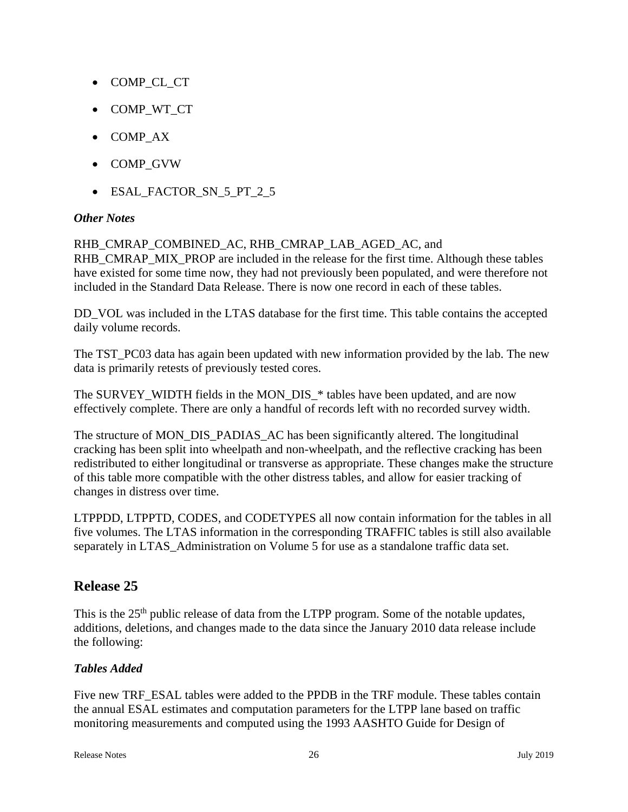- COMP\_CL\_CT
- COMP\_WT\_CT
- COMP AX
- COMP\_GVW
- ESAL\_FACTOR\_SN\_5\_PT\_2\_5

#### *Other Notes*

#### RHB\_CMRAP\_COMBINED\_AC, RHB\_CMRAP\_LAB\_AGED\_AC, and

RHB\_CMRAP\_MIX\_PROP are included in the release for the first time. Although these tables have existed for some time now, they had not previously been populated, and were therefore not included in the Standard Data Release. There is now one record in each of these tables.

DD\_VOL was included in the LTAS database for the first time. This table contains the accepted daily volume records.

The TST\_PC03 data has again been updated with new information provided by the lab. The new data is primarily retests of previously tested cores.

The SURVEY\_WIDTH fields in the MON\_DIS\_\* tables have been updated, and are now effectively complete. There are only a handful of records left with no recorded survey width.

The structure of MON\_DIS\_PADIAS\_AC has been significantly altered. The longitudinal cracking has been split into wheelpath and non-wheelpath, and the reflective cracking has been redistributed to either longitudinal or transverse as appropriate. These changes make the structure of this table more compatible with the other distress tables, and allow for easier tracking of changes in distress over time.

LTPPDD, LTPPTD, CODES, and CODETYPES all now contain information for the tables in all five volumes. The LTAS information in the corresponding TRAFFIC tables is still also available separately in LTAS\_Administration on Volume 5 for use as a standalone traffic data set.

# **Release 25**

This is the 25<sup>th</sup> public release of data from the LTPP program. Some of the notable updates, additions, deletions, and changes made to the data since the January 2010 data release include the following:

## *Tables Added*

Five new TRF\_ESAL tables were added to the PPDB in the TRF module. These tables contain the annual ESAL estimates and computation parameters for the LTPP lane based on traffic monitoring measurements and computed using the 1993 AASHTO Guide for Design of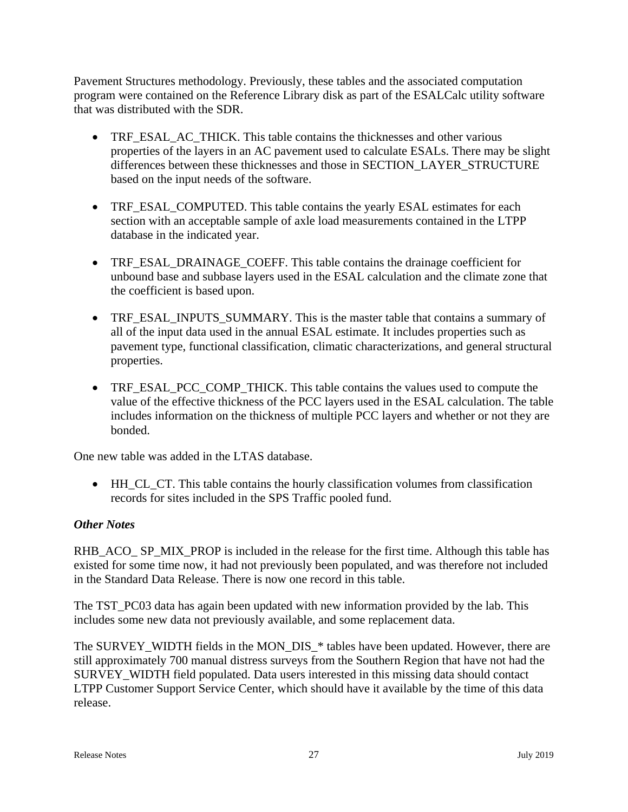Pavement Structures methodology. Previously, these tables and the associated computation program were contained on the Reference Library disk as part of the ESALCalc utility software that was distributed with the SDR.

- TRF\_ESAL\_AC\_THICK. This table contains the thicknesses and other various properties of the layers in an AC pavement used to calculate ESALs. There may be slight differences between these thicknesses and those in SECTION\_LAYER\_STRUCTURE based on the input needs of the software.
- TRF\_ESAL\_COMPUTED. This table contains the yearly ESAL estimates for each section with an acceptable sample of axle load measurements contained in the LTPP database in the indicated year.
- TRF\_ESAL\_DRAINAGE\_COEFF. This table contains the drainage coefficient for unbound base and subbase layers used in the ESAL calculation and the climate zone that the coefficient is based upon.
- TRF\_ESAL\_INPUTS\_SUMMARY. This is the master table that contains a summary of all of the input data used in the annual ESAL estimate. It includes properties such as pavement type, functional classification, climatic characterizations, and general structural properties.
- TRF\_ESAL\_PCC\_COMP\_THICK. This table contains the values used to compute the value of the effective thickness of the PCC layers used in the ESAL calculation. The table includes information on the thickness of multiple PCC layers and whether or not they are bonded.

One new table was added in the LTAS database.

 HH\_CL\_CT. This table contains the hourly classification volumes from classification records for sites included in the SPS Traffic pooled fund.

## *Other Notes*

RHB\_ACO\_ SP\_MIX\_PROP is included in the release for the first time. Although this table has existed for some time now, it had not previously been populated, and was therefore not included in the Standard Data Release. There is now one record in this table.

The TST PC03 data has again been updated with new information provided by the lab. This includes some new data not previously available, and some replacement data.

The SURVEY WIDTH fields in the MON DIS \* tables have been updated. However, there are still approximately 700 manual distress surveys from the Southern Region that have not had the SURVEY\_WIDTH field populated. Data users interested in this missing data should contact LTPP Customer Support Service Center, which should have it available by the time of this data release.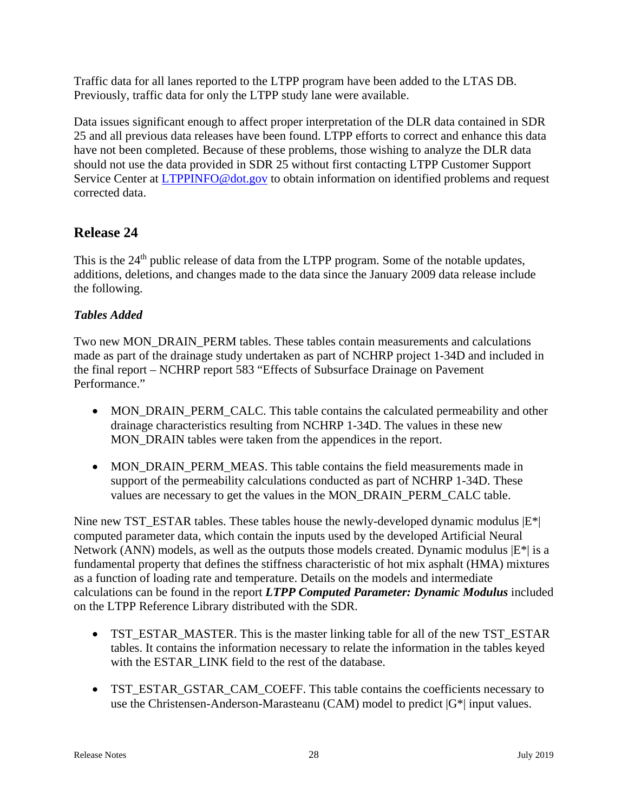Traffic data for all lanes reported to the LTPP program have been added to the LTAS DB. Previously, traffic data for only the LTPP study lane were available.

Data issues significant enough to affect proper interpretation of the DLR data contained in SDR 25 and all previous data releases have been found. LTPP efforts to correct and enhance this data have not been completed. Because of these problems, those wishing to analyze the DLR data should not use the data provided in SDR 25 without first contacting LTPP Customer Support Service Center at LTPPINFO@dot.gov to obtain information on identified problems and request corrected data.

# **Release 24**

This is the 24<sup>th</sup> public release of data from the LTPP program. Some of the notable updates, additions, deletions, and changes made to the data since the January 2009 data release include the following.

## *Tables Added*

Two new MON\_DRAIN\_PERM tables. These tables contain measurements and calculations made as part of the drainage study undertaken as part of NCHRP project 1-34D and included in the final report – NCHRP report 583 "Effects of Subsurface Drainage on Pavement Performance."

- MON\_DRAIN\_PERM\_CALC. This table contains the calculated permeability and other drainage characteristics resulting from NCHRP 1-34D. The values in these new MON\_DRAIN tables were taken from the appendices in the report.
- MON\_DRAIN\_PERM\_MEAS. This table contains the field measurements made in support of the permeability calculations conducted as part of NCHRP 1-34D. These values are necessary to get the values in the MON\_DRAIN\_PERM\_CALC table.

Nine new TST\_ESTAR tables. These tables house the newly-developed dynamic modulus  $|E^*|$ computed parameter data, which contain the inputs used by the developed Artificial Neural Network (ANN) models, as well as the outputs those models created. Dynamic modulus  $|E^*|$  is a fundamental property that defines the stiffness characteristic of hot mix asphalt (HMA) mixtures as a function of loading rate and temperature. Details on the models and intermediate calculations can be found in the report *LTPP Computed Parameter: Dynamic Modulus* included on the LTPP Reference Library distributed with the SDR.

- TST\_ESTAR\_MASTER. This is the master linking table for all of the new TST\_ESTAR tables. It contains the information necessary to relate the information in the tables keyed with the ESTAR\_LINK field to the rest of the database.
- TST\_ESTAR\_GSTAR\_CAM\_COEFF. This table contains the coefficients necessary to use the Christensen-Anderson-Marasteanu (CAM) model to predict |G\*| input values.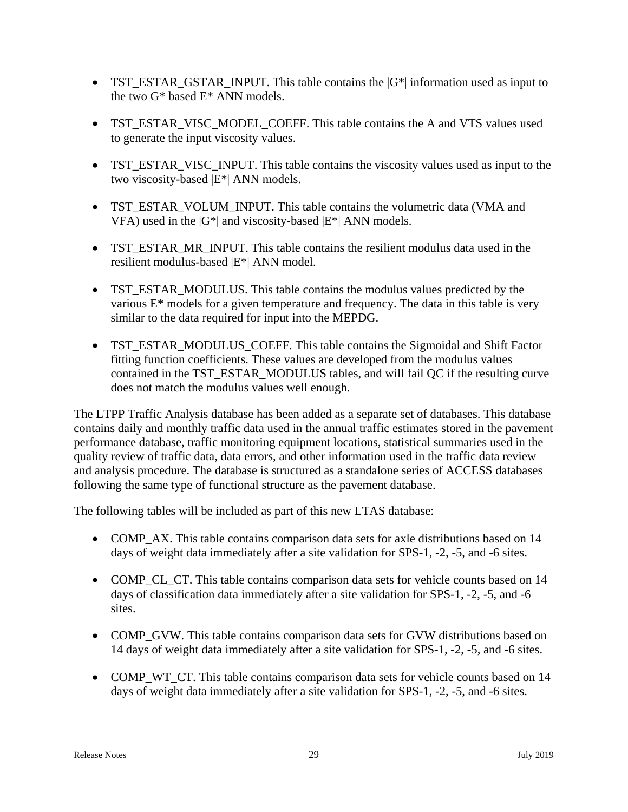- TST\_ESTAR\_GSTAR\_INPUT. This table contains the  $|G^*|$  information used as input to the two G\* based E\* ANN models.
- TST\_ESTAR\_VISC\_MODEL\_COEFF. This table contains the A and VTS values used to generate the input viscosity values.
- TST\_ESTAR\_VISC\_INPUT. This table contains the viscosity values used as input to the two viscosity-based |E\*| ANN models.
- TST\_ESTAR\_VOLUM\_INPUT. This table contains the volumetric data (VMA and VFA) used in the  $|G^*|$  and viscosity-based  $|E^*|$  ANN models.
- TST\_ESTAR\_MR\_INPUT. This table contains the resilient modulus data used in the resilient modulus-based |E\*| ANN model.
- TST\_ESTAR\_MODULUS. This table contains the modulus values predicted by the various E\* models for a given temperature and frequency. The data in this table is very similar to the data required for input into the MEPDG.
- TST\_ESTAR\_MODULUS\_COEFF. This table contains the Sigmoidal and Shift Factor fitting function coefficients. These values are developed from the modulus values contained in the TST\_ESTAR\_MODULUS tables, and will fail QC if the resulting curve does not match the modulus values well enough.

The LTPP Traffic Analysis database has been added as a separate set of databases. This database contains daily and monthly traffic data used in the annual traffic estimates stored in the pavement performance database, traffic monitoring equipment locations, statistical summaries used in the quality review of traffic data, data errors, and other information used in the traffic data review and analysis procedure. The database is structured as a standalone series of ACCESS databases following the same type of functional structure as the pavement database.

The following tables will be included as part of this new LTAS database:

- COMP\_AX. This table contains comparison data sets for axle distributions based on 14 days of weight data immediately after a site validation for SPS-1, -2, -5, and -6 sites.
- COMP\_CL\_CT. This table contains comparison data sets for vehicle counts based on 14 days of classification data immediately after a site validation for SPS-1, -2, -5, and -6 sites.
- COMP GVW. This table contains comparison data sets for GVW distributions based on 14 days of weight data immediately after a site validation for SPS-1, -2, -5, and -6 sites.
- COMP WT CT. This table contains comparison data sets for vehicle counts based on 14 days of weight data immediately after a site validation for SPS-1, -2, -5, and -6 sites.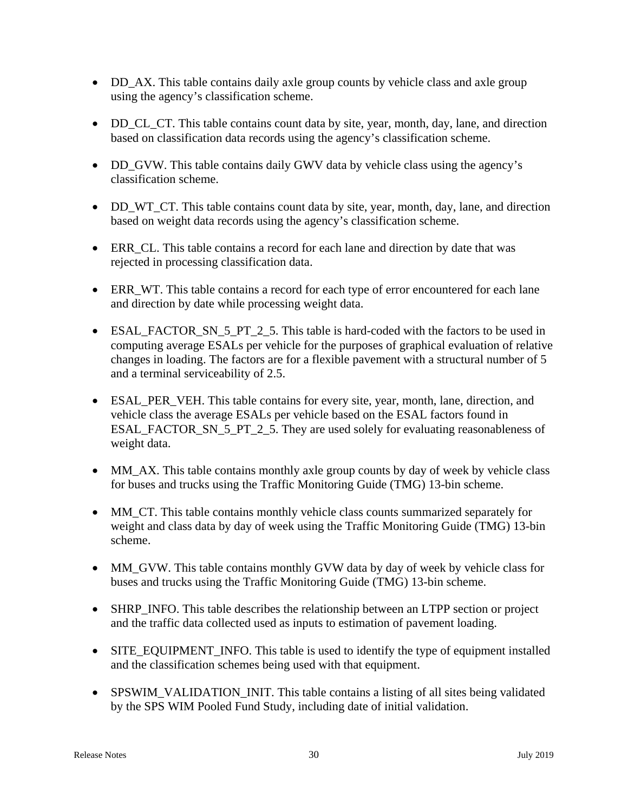- DD\_AX. This table contains daily axle group counts by vehicle class and axle group using the agency's classification scheme.
- DD CL CT. This table contains count data by site, year, month, day, lane, and direction based on classification data records using the agency's classification scheme.
- DD GVW. This table contains daily GWV data by vehicle class using the agency's classification scheme.
- DD\_WT\_CT. This table contains count data by site, year, month, day, lane, and direction based on weight data records using the agency's classification scheme.
- ERR\_CL. This table contains a record for each lane and direction by date that was rejected in processing classification data.
- ERR WT. This table contains a record for each type of error encountered for each lane and direction by date while processing weight data.
- ESAL\_FACTOR\_SN\_5\_PT\_2\_5. This table is hard-coded with the factors to be used in computing average ESALs per vehicle for the purposes of graphical evaluation of relative changes in loading. The factors are for a flexible pavement with a structural number of 5 and a terminal serviceability of 2.5.
- ESAL\_PER\_VEH. This table contains for every site, year, month, lane, direction, and vehicle class the average ESALs per vehicle based on the ESAL factors found in ESAL\_FACTOR\_SN\_5\_PT\_2\_5. They are used solely for evaluating reasonableness of weight data.
- MM AX. This table contains monthly axle group counts by day of week by vehicle class for buses and trucks using the Traffic Monitoring Guide (TMG) 13-bin scheme.
- MM\_CT. This table contains monthly vehicle class counts summarized separately for weight and class data by day of week using the Traffic Monitoring Guide (TMG) 13-bin scheme.
- MM\_GVW. This table contains monthly GVW data by day of week by vehicle class for buses and trucks using the Traffic Monitoring Guide (TMG) 13-bin scheme.
- SHRP\_INFO. This table describes the relationship between an LTPP section or project and the traffic data collected used as inputs to estimation of pavement loading.
- SITE\_EQUIPMENT\_INFO. This table is used to identify the type of equipment installed and the classification schemes being used with that equipment.
- SPSWIM\_VALIDATION\_INIT. This table contains a listing of all sites being validated by the SPS WIM Pooled Fund Study, including date of initial validation.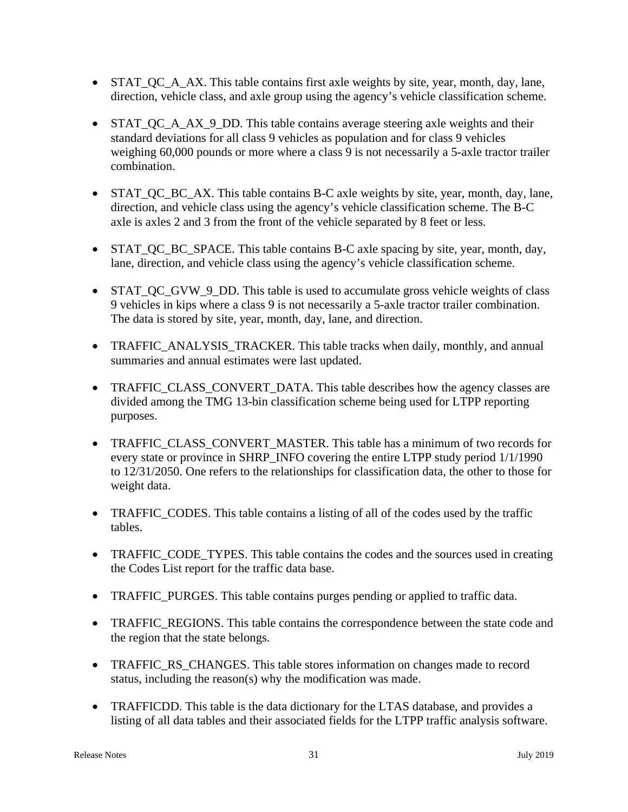- STAT QC A AX. This table contains first axle weights by site, year, month, day, lane, direction, vehicle class, and axle group using the agency's vehicle classification scheme.
- STAT QC A AX 9 DD. This table contains average steering axle weights and their standard deviations for all class 9 vehicles as population and for class 9 vehicles weighing 60,000 pounds or more where a class 9 is not necessarily a 5-axle tractor trailer combination.
- STAT QC BC AX. This table contains B-C axle weights by site, year, month, day, lane, direction, and vehicle class using the agency's vehicle classification scheme. The B-C axle is axles 2 and 3 from the front of the vehicle separated by 8 feet or less.
- STAT\_QC\_BC\_SPACE. This table contains B-C axle spacing by site, year, month, day, lane, direction, and vehicle class using the agency's vehicle classification scheme.
- STAT\_QC\_GVW\_9\_DD. This table is used to accumulate gross vehicle weights of class 9 vehicles in kips where a class 9 is not necessarily a 5-axle tractor trailer combination. The data is stored by site, year, month, day, lane, and direction.
- TRAFFIC ANALYSIS TRACKER. This table tracks when daily, monthly, and annual summaries and annual estimates were last updated.
- TRAFFIC\_CLASS\_CONVERT\_DATA. This table describes how the agency classes are divided among the TMG 13-bin classification scheme being used for LTPP reporting purposes.
- TRAFFIC\_CLASS\_CONVERT\_MASTER. This table has a minimum of two records for every state or province in SHRP\_INFO covering the entire LTPP study period 1/1/1990 to 12/31/2050. One refers to the relationships for classification data, the other to those for weight data.
- TRAFFIC\_CODES. This table contains a listing of all of the codes used by the traffic tables.
- TRAFFIC CODE TYPES. This table contains the codes and the sources used in creating the Codes List report for the traffic data base.
- TRAFFIC\_PURGES. This table contains purges pending or applied to traffic data.
- TRAFFIC\_REGIONS. This table contains the correspondence between the state code and the region that the state belongs.
- TRAFFIC\_RS\_CHANGES. This table stores information on changes made to record status, including the reason(s) why the modification was made.
- TRAFFICDD. This table is the data dictionary for the LTAS database, and provides a listing of all data tables and their associated fields for the LTPP traffic analysis software.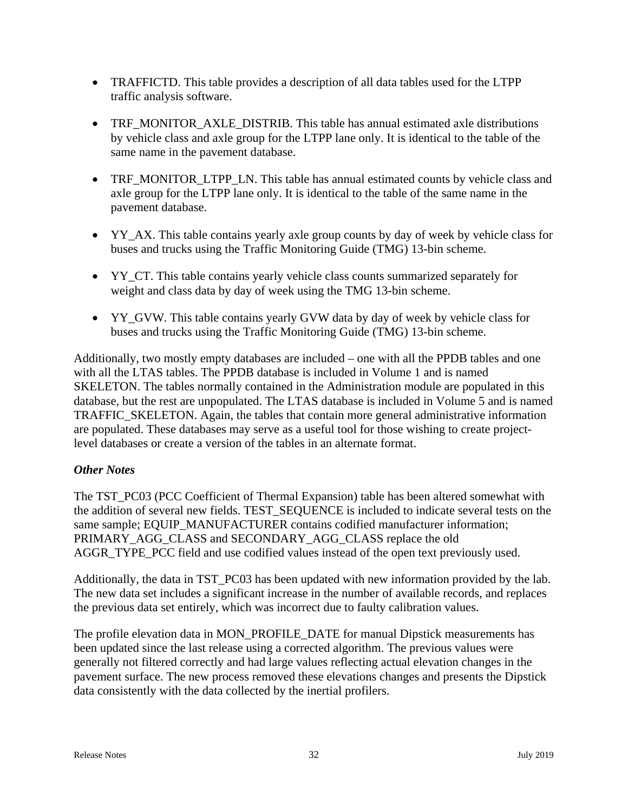- TRAFFICTD. This table provides a description of all data tables used for the LTPP traffic analysis software.
- TRF\_MONITOR\_AXLE\_DISTRIB. This table has annual estimated axle distributions by vehicle class and axle group for the LTPP lane only. It is identical to the table of the same name in the pavement database.
- TRF\_MONITOR\_LTPP\_LN. This table has annual estimated counts by vehicle class and axle group for the LTPP lane only. It is identical to the table of the same name in the pavement database.
- YY\_AX. This table contains yearly axle group counts by day of week by vehicle class for buses and trucks using the Traffic Monitoring Guide (TMG) 13-bin scheme.
- YY\_CT. This table contains yearly vehicle class counts summarized separately for weight and class data by day of week using the TMG 13-bin scheme.
- YY\_GVW. This table contains yearly GVW data by day of week by vehicle class for buses and trucks using the Traffic Monitoring Guide (TMG) 13-bin scheme.

Additionally, two mostly empty databases are included – one with all the PPDB tables and one with all the LTAS tables. The PPDB database is included in Volume 1 and is named SKELETON. The tables normally contained in the Administration module are populated in this database, but the rest are unpopulated. The LTAS database is included in Volume 5 and is named TRAFFIC\_SKELETON. Again, the tables that contain more general administrative information are populated. These databases may serve as a useful tool for those wishing to create projectlevel databases or create a version of the tables in an alternate format.

## *Other Notes*

The TST\_PC03 (PCC Coefficient of Thermal Expansion) table has been altered somewhat with the addition of several new fields. TEST\_SEQUENCE is included to indicate several tests on the same sample; EQUIP\_MANUFACTURER contains codified manufacturer information; PRIMARY\_AGG\_CLASS and SECONDARY\_AGG\_CLASS replace the old AGGR\_TYPE\_PCC field and use codified values instead of the open text previously used.

Additionally, the data in TST\_PC03 has been updated with new information provided by the lab. The new data set includes a significant increase in the number of available records, and replaces the previous data set entirely, which was incorrect due to faulty calibration values.

The profile elevation data in MON\_PROFILE\_DATE for manual Dipstick measurements has been updated since the last release using a corrected algorithm. The previous values were generally not filtered correctly and had large values reflecting actual elevation changes in the pavement surface. The new process removed these elevations changes and presents the Dipstick data consistently with the data collected by the inertial profilers.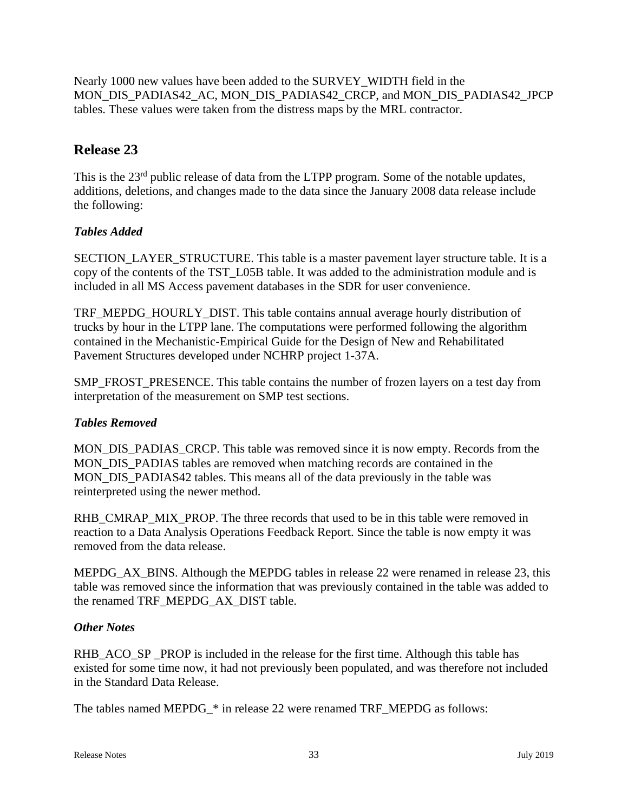Nearly 1000 new values have been added to the SURVEY\_WIDTH field in the MON\_DIS\_PADIAS42\_AC, MON\_DIS\_PADIAS42\_CRCP, and MON\_DIS\_PADIAS42\_JPCP tables. These values were taken from the distress maps by the MRL contractor.

# **Release 23**

This is the 23<sup>rd</sup> public release of data from the LTPP program. Some of the notable updates, additions, deletions, and changes made to the data since the January 2008 data release include the following:

## *Tables Added*

SECTION\_LAYER\_STRUCTURE. This table is a master pavement layer structure table. It is a copy of the contents of the TST\_L05B table. It was added to the administration module and is included in all MS Access pavement databases in the SDR for user convenience.

TRF\_MEPDG\_HOURLY\_DIST. This table contains annual average hourly distribution of trucks by hour in the LTPP lane. The computations were performed following the algorithm contained in the Mechanistic-Empirical Guide for the Design of New and Rehabilitated Pavement Structures developed under NCHRP project 1-37A.

SMP\_FROST\_PRESENCE. This table contains the number of frozen layers on a test day from interpretation of the measurement on SMP test sections.

## *Tables Removed*

MON DIS PADIAS CRCP. This table was removed since it is now empty. Records from the MON\_DIS\_PADIAS tables are removed when matching records are contained in the MON DIS PADIAS42 tables. This means all of the data previously in the table was reinterpreted using the newer method.

RHB\_CMRAP\_MIX\_PROP. The three records that used to be in this table were removed in reaction to a Data Analysis Operations Feedback Report. Since the table is now empty it was removed from the data release.

MEPDG AX BINS. Although the MEPDG tables in release 22 were renamed in release 23, this table was removed since the information that was previously contained in the table was added to the renamed TRF\_MEPDG\_AX\_DIST table.

## *Other Notes*

RHB\_ACO\_SP \_PROP is included in the release for the first time. Although this table has existed for some time now, it had not previously been populated, and was therefore not included in the Standard Data Release.

The tables named MEPDG\_\* in release 22 were renamed TRF\_MEPDG as follows: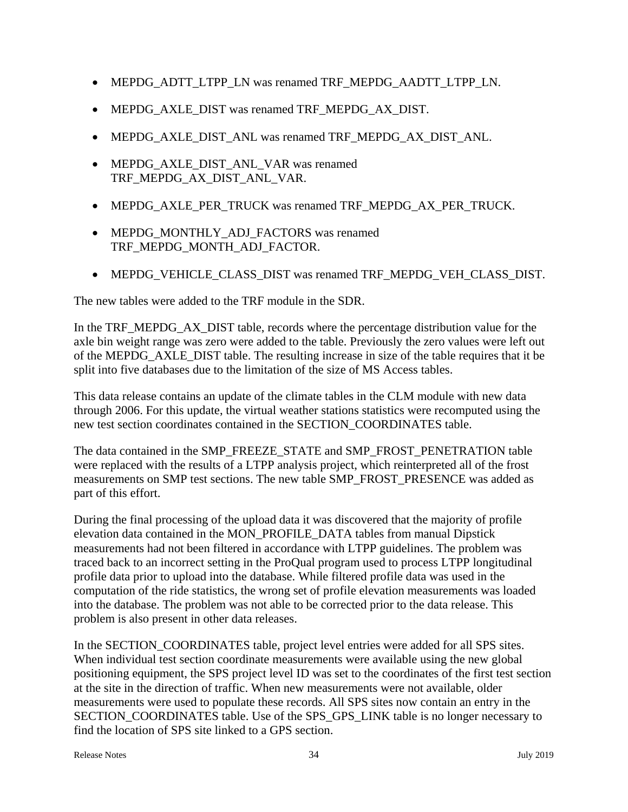- MEPDG\_ADTT\_LTPP\_LN was renamed TRF\_MEPDG\_AADTT\_LTPP\_LN.
- MEPDG\_AXLE\_DIST was renamed TRF\_MEPDG\_AX\_DIST.
- MEPDG\_AXLE\_DIST\_ANL was renamed TRF\_MEPDG\_AX\_DIST\_ANL.
- MEPDG\_AXLE\_DIST\_ANL\_VAR was renamed TRF\_MEPDG\_AX\_DIST\_ANL\_VAR.
- MEPDG\_AXLE\_PER\_TRUCK was renamed TRF\_MEPDG\_AX\_PER\_TRUCK.
- MEPDG\_MONTHLY\_ADJ\_FACTORS was renamed TRF\_MEPDG\_MONTH\_ADJ\_FACTOR.
- MEPDG\_VEHICLE\_CLASS\_DIST was renamed TRF\_MEPDG\_VEH\_CLASS\_DIST.

The new tables were added to the TRF module in the SDR.

In the TRF\_MEPDG\_AX\_DIST table, records where the percentage distribution value for the axle bin weight range was zero were added to the table. Previously the zero values were left out of the MEPDG\_AXLE\_DIST table. The resulting increase in size of the table requires that it be split into five databases due to the limitation of the size of MS Access tables.

This data release contains an update of the climate tables in the CLM module with new data through 2006. For this update, the virtual weather stations statistics were recomputed using the new test section coordinates contained in the SECTION\_COORDINATES table.

The data contained in the SMP\_FREEZE\_STATE and SMP\_FROST\_PENETRATION table were replaced with the results of a LTPP analysis project, which reinterpreted all of the frost measurements on SMP test sections. The new table SMP\_FROST\_PRESENCE was added as part of this effort.

During the final processing of the upload data it was discovered that the majority of profile elevation data contained in the MON\_PROFILE\_DATA tables from manual Dipstick measurements had not been filtered in accordance with LTPP guidelines. The problem was traced back to an incorrect setting in the ProQual program used to process LTPP longitudinal profile data prior to upload into the database. While filtered profile data was used in the computation of the ride statistics, the wrong set of profile elevation measurements was loaded into the database. The problem was not able to be corrected prior to the data release. This problem is also present in other data releases.

In the SECTION\_COORDINATES table, project level entries were added for all SPS sites. When individual test section coordinate measurements were available using the new global positioning equipment, the SPS project level ID was set to the coordinates of the first test section at the site in the direction of traffic. When new measurements were not available, older measurements were used to populate these records. All SPS sites now contain an entry in the SECTION\_COORDINATES table. Use of the SPS\_GPS\_LINK table is no longer necessary to find the location of SPS site linked to a GPS section.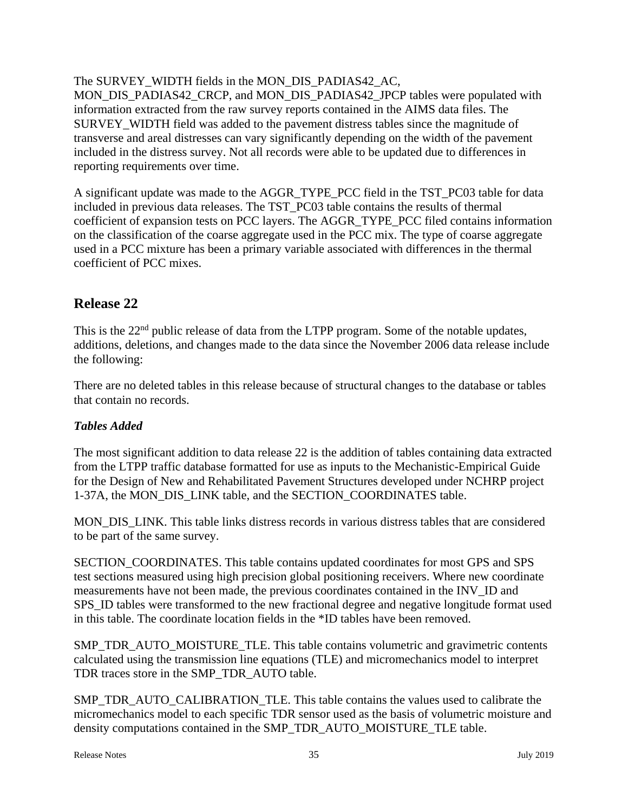The SURVEY WIDTH fields in the MON DIS PADIAS42 AC, MON\_DIS\_PADIAS42\_CRCP, and MON\_DIS\_PADIAS42\_JPCP tables were populated with information extracted from the raw survey reports contained in the AIMS data files. The SURVEY\_WIDTH field was added to the pavement distress tables since the magnitude of transverse and areal distresses can vary significantly depending on the width of the pavement included in the distress survey. Not all records were able to be updated due to differences in reporting requirements over time.

A significant update was made to the AGGR\_TYPE\_PCC field in the TST\_PC03 table for data included in previous data releases. The TST\_PC03 table contains the results of thermal coefficient of expansion tests on PCC layers. The AGGR\_TYPE\_PCC filed contains information on the classification of the coarse aggregate used in the PCC mix. The type of coarse aggregate used in a PCC mixture has been a primary variable associated with differences in the thermal coefficient of PCC mixes.

# **Release 22**

This is the 22<sup>nd</sup> public release of data from the LTPP program. Some of the notable updates, additions, deletions, and changes made to the data since the November 2006 data release include the following:

There are no deleted tables in this release because of structural changes to the database or tables that contain no records.

## *Tables Added*

The most significant addition to data release 22 is the addition of tables containing data extracted from the LTPP traffic database formatted for use as inputs to the Mechanistic-Empirical Guide for the Design of New and Rehabilitated Pavement Structures developed under NCHRP project 1-37A, the MON\_DIS\_LINK table, and the SECTION\_COORDINATES table.

MON\_DIS\_LINK. This table links distress records in various distress tables that are considered to be part of the same survey.

SECTION\_COORDINATES. This table contains updated coordinates for most GPS and SPS test sections measured using high precision global positioning receivers. Where new coordinate measurements have not been made, the previous coordinates contained in the INV\_ID and SPS\_ID tables were transformed to the new fractional degree and negative longitude format used in this table. The coordinate location fields in the \*ID tables have been removed.

SMP\_TDR\_AUTO\_MOISTURE\_TLE. This table contains volumetric and gravimetric contents calculated using the transmission line equations (TLE) and micromechanics model to interpret TDR traces store in the SMP\_TDR\_AUTO table.

SMP\_TDR\_AUTO\_CALIBRATION\_TLE. This table contains the values used to calibrate the micromechanics model to each specific TDR sensor used as the basis of volumetric moisture and density computations contained in the SMP\_TDR\_AUTO\_MOISTURE\_TLE table.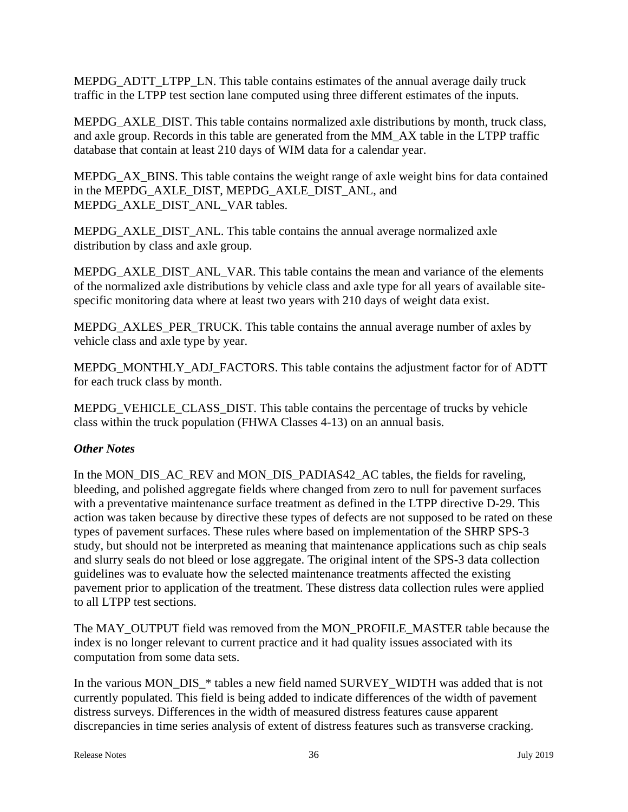MEPDG\_ADTT\_LTPP\_LN. This table contains estimates of the annual average daily truck traffic in the LTPP test section lane computed using three different estimates of the inputs.

MEPDG AXLE DIST. This table contains normalized axle distributions by month, truck class, and axle group. Records in this table are generated from the MM\_AX table in the LTPP traffic database that contain at least 210 days of WIM data for a calendar year.

MEPDG AX BINS. This table contains the weight range of axle weight bins for data contained in the MEPDG\_AXLE\_DIST, MEPDG\_AXLE\_DIST\_ANL, and MEPDG\_AXLE\_DIST\_ANL\_VAR tables.

MEPDG\_AXLE\_DIST\_ANL. This table contains the annual average normalized axle distribution by class and axle group.

MEPDG\_AXLE\_DIST\_ANL\_VAR. This table contains the mean and variance of the elements of the normalized axle distributions by vehicle class and axle type for all years of available sitespecific monitoring data where at least two years with 210 days of weight data exist.

MEPDG\_AXLES\_PER\_TRUCK. This table contains the annual average number of axles by vehicle class and axle type by year.

MEPDG\_MONTHLY\_ADJ\_FACTORS. This table contains the adjustment factor for of ADTT for each truck class by month.

MEPDG VEHICLE CLASS DIST. This table contains the percentage of trucks by vehicle class within the truck population (FHWA Classes 4-13) on an annual basis.

## *Other Notes*

In the MON\_DIS\_AC\_REV and MON\_DIS\_PADIAS42\_AC tables, the fields for raveling, bleeding, and polished aggregate fields where changed from zero to null for pavement surfaces with a preventative maintenance surface treatment as defined in the LTPP directive D-29. This action was taken because by directive these types of defects are not supposed to be rated on these types of pavement surfaces. These rules where based on implementation of the SHRP SPS-3 study, but should not be interpreted as meaning that maintenance applications such as chip seals and slurry seals do not bleed or lose aggregate. The original intent of the SPS-3 data collection guidelines was to evaluate how the selected maintenance treatments affected the existing pavement prior to application of the treatment. These distress data collection rules were applied to all LTPP test sections.

The MAY\_OUTPUT field was removed from the MON\_PROFILE\_MASTER table because the index is no longer relevant to current practice and it had quality issues associated with its computation from some data sets.

In the various MON\_DIS\_\* tables a new field named SURVEY\_WIDTH was added that is not currently populated. This field is being added to indicate differences of the width of pavement distress surveys. Differences in the width of measured distress features cause apparent discrepancies in time series analysis of extent of distress features such as transverse cracking.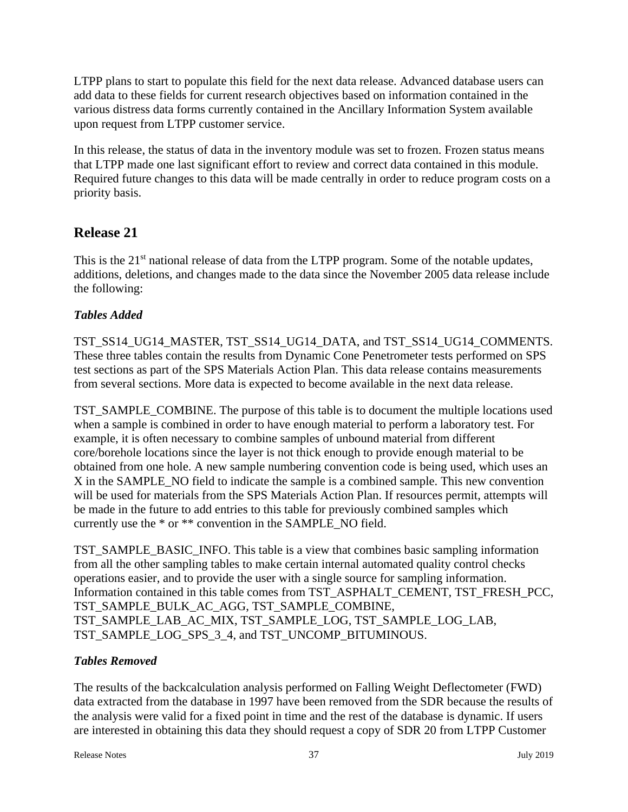LTPP plans to start to populate this field for the next data release. Advanced database users can add data to these fields for current research objectives based on information contained in the various distress data forms currently contained in the Ancillary Information System available upon request from LTPP customer service.

In this release, the status of data in the inventory module was set to frozen. Frozen status means that LTPP made one last significant effort to review and correct data contained in this module. Required future changes to this data will be made centrally in order to reduce program costs on a priority basis.

# **Release 21**

This is the 21<sup>st</sup> national release of data from the LTPP program. Some of the notable updates, additions, deletions, and changes made to the data since the November 2005 data release include the following:

# *Tables Added*

TST\_SS14\_UG14\_MASTER, TST\_SS14\_UG14\_DATA, and TST\_SS14\_UG14\_COMMENTS. These three tables contain the results from Dynamic Cone Penetrometer tests performed on SPS test sections as part of the SPS Materials Action Plan. This data release contains measurements from several sections. More data is expected to become available in the next data release.

TST\_SAMPLE\_COMBINE. The purpose of this table is to document the multiple locations used when a sample is combined in order to have enough material to perform a laboratory test. For example, it is often necessary to combine samples of unbound material from different core/borehole locations since the layer is not thick enough to provide enough material to be obtained from one hole. A new sample numbering convention code is being used, which uses an X in the SAMPLE\_NO field to indicate the sample is a combined sample. This new convention will be used for materials from the SPS Materials Action Plan. If resources permit, attempts will be made in the future to add entries to this table for previously combined samples which currently use the \* or \*\* convention in the SAMPLE\_NO field.

TST\_SAMPLE\_BASIC\_INFO. This table is a view that combines basic sampling information from all the other sampling tables to make certain internal automated quality control checks operations easier, and to provide the user with a single source for sampling information. Information contained in this table comes from TST\_ASPHALT\_CEMENT, TST\_FRESH\_PCC, TST\_SAMPLE\_BULK\_AC\_AGG, TST\_SAMPLE\_COMBINE, TST\_SAMPLE\_LAB\_AC\_MIX, TST\_SAMPLE\_LOG, TST\_SAMPLE\_LOG\_LAB, TST\_SAMPLE\_LOG\_SPS\_3\_4, and TST\_UNCOMP\_BITUMINOUS.

## *Tables Removed*

The results of the backcalculation analysis performed on Falling Weight Deflectometer (FWD) data extracted from the database in 1997 have been removed from the SDR because the results of the analysis were valid for a fixed point in time and the rest of the database is dynamic. If users are interested in obtaining this data they should request a copy of SDR 20 from LTPP Customer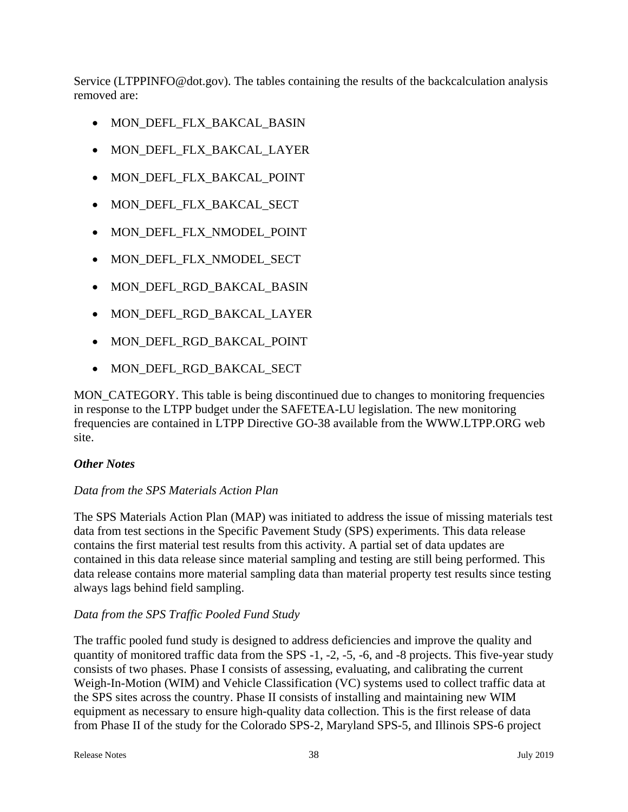Service (LTPPINFO@dot.gov). The tables containing the results of the backcalculation analysis removed are:

- MON\_DEFL\_FLX\_BAKCAL\_BASIN
- MON\_DEFL\_FLX\_BAKCAL\_LAYER
- MON DEFL FLX BAKCAL POINT
- MON\_DEFL\_FLX\_BAKCAL\_SECT
- MON DEFL FLX NMODEL POINT
- MON\_DEFL\_FLX\_NMODEL\_SECT
- MON\_DEFL\_RGD\_BAKCAL\_BASIN
- MON\_DEFL\_RGD\_BAKCAL\_LAYER
- MON DEFL RGD BAKCAL POINT
- MON DEFL RGD BAKCAL SECT

MON CATEGORY. This table is being discontinued due to changes to monitoring frequencies in response to the LTPP budget under the SAFETEA-LU legislation. The new monitoring frequencies are contained in LTPP Directive GO-38 available from the WWW.LTPP.ORG web site.

#### *Other Notes*

#### *Data from the SPS Materials Action Plan*

The SPS Materials Action Plan (MAP) was initiated to address the issue of missing materials test data from test sections in the Specific Pavement Study (SPS) experiments. This data release contains the first material test results from this activity. A partial set of data updates are contained in this data release since material sampling and testing are still being performed. This data release contains more material sampling data than material property test results since testing always lags behind field sampling.

#### *Data from the SPS Traffic Pooled Fund Study*

The traffic pooled fund study is designed to address deficiencies and improve the quality and quantity of monitored traffic data from the SPS -1, -2, -5, -6, and -8 projects. This five-year study consists of two phases. Phase I consists of assessing, evaluating, and calibrating the current Weigh-In-Motion (WIM) and Vehicle Classification (VC) systems used to collect traffic data at the SPS sites across the country. Phase II consists of installing and maintaining new WIM equipment as necessary to ensure high-quality data collection. This is the first release of data from Phase II of the study for the Colorado SPS-2, Maryland SPS-5, and Illinois SPS-6 project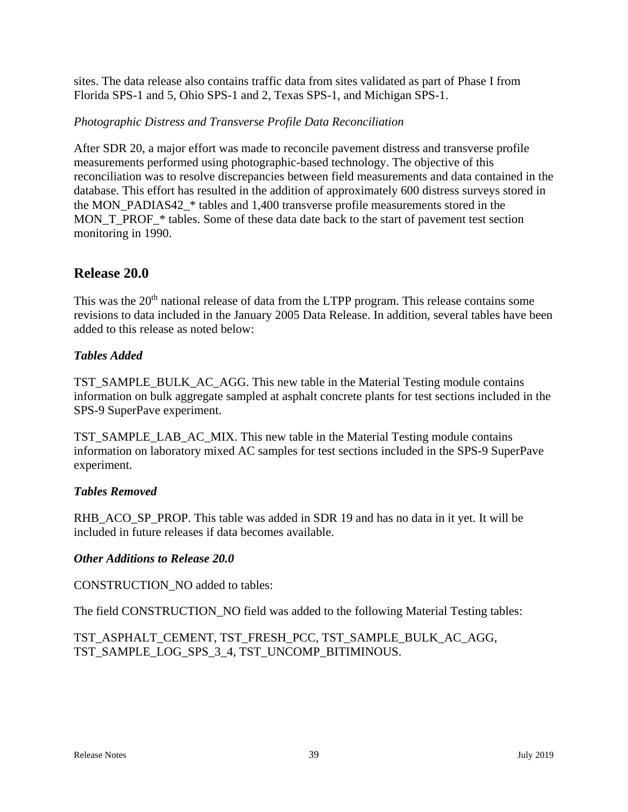sites. The data release also contains traffic data from sites validated as part of Phase I from Florida SPS-1 and 5, Ohio SPS-1 and 2, Texas SPS-1, and Michigan SPS-1.

#### *Photographic Distress and Transverse Profile Data Reconciliation*

After SDR 20, a major effort was made to reconcile pavement distress and transverse profile measurements performed using photographic-based technology. The objective of this reconciliation was to resolve discrepancies between field measurements and data contained in the database. This effort has resulted in the addition of approximately 600 distress surveys stored in the MON\_PADIAS42\_\* tables and 1,400 transverse profile measurements stored in the MON\_T\_PROF\_\* tables. Some of these data date back to the start of pavement test section monitoring in 1990.

## **Release 20.0**

This was the 20<sup>th</sup> national release of data from the LTPP program. This release contains some revisions to data included in the January 2005 Data Release. In addition, several tables have been added to this release as noted below:

#### *Tables Added*

TST\_SAMPLE\_BULK\_AC\_AGG. This new table in the Material Testing module contains information on bulk aggregate sampled at asphalt concrete plants for test sections included in the SPS-9 SuperPave experiment.

TST\_SAMPLE\_LAB\_AC\_MIX. This new table in the Material Testing module contains information on laboratory mixed AC samples for test sections included in the SPS-9 SuperPave experiment.

#### *Tables Removed*

RHB\_ACO\_SP\_PROP. This table was added in SDR 19 and has no data in it yet. It will be included in future releases if data becomes available.

#### *Other Additions to Release 20.0*

CONSTRUCTION\_NO added to tables:

The field CONSTRUCTION\_NO field was added to the following Material Testing tables:

TST\_ASPHALT\_CEMENT, TST\_FRESH\_PCC, TST\_SAMPLE\_BULK\_AC\_AGG, TST\_SAMPLE\_LOG\_SPS\_3\_4, TST\_UNCOMP\_BITIMINOUS.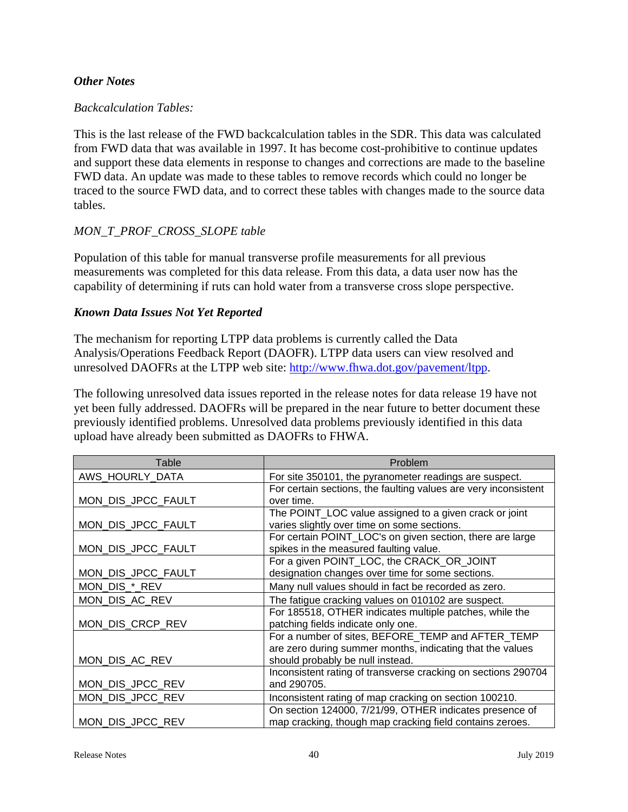#### *Other Notes*

#### *Backcalculation Tables:*

This is the last release of the FWD backcalculation tables in the SDR. This data was calculated from FWD data that was available in 1997. It has become cost-prohibitive to continue updates and support these data elements in response to changes and corrections are made to the baseline FWD data. An update was made to these tables to remove records which could no longer be traced to the source FWD data, and to correct these tables with changes made to the source data tables.

#### *MON\_T\_PROF\_CROSS\_SLOPE table*

Population of this table for manual transverse profile measurements for all previous measurements was completed for this data release. From this data, a data user now has the capability of determining if ruts can hold water from a transverse cross slope perspective.

#### *Known Data Issues Not Yet Reported*

The mechanism for reporting LTPP data problems is currently called the Data Analysis/Operations Feedback Report (DAOFR). LTPP data users can view resolved and unresolved DAOFRs at the LTPP web site: http://www.fhwa.dot.gov/pavement/ltpp.

The following unresolved data issues reported in the release notes for data release 19 have not yet been fully addressed. DAOFRs will be prepared in the near future to better document these previously identified problems. Unresolved data problems previously identified in this data upload have already been submitted as DAOFRs to FHWA.

| Table              | Problem                                                         |
|--------------------|-----------------------------------------------------------------|
| AWS_HOURLY_DATA    | For site 350101, the pyranometer readings are suspect.          |
|                    | For certain sections, the faulting values are very inconsistent |
| MON_DIS_JPCC_FAULT | over time.                                                      |
|                    | The POINT_LOC value assigned to a given crack or joint          |
| MON_DIS_JPCC_FAULT | varies slightly over time on some sections.                     |
|                    | For certain POINT_LOC's on given section, there are large       |
| MON_DIS_JPCC_FAULT | spikes in the measured faulting value.                          |
|                    | For a given POINT_LOC, the CRACK_OR_JOINT                       |
| MON_DIS_JPCC_FAULT | designation changes over time for some sections.                |
| MON_DIS_*_REV      | Many null values should in fact be recorded as zero.            |
| MON_DIS_AC_REV     | The fatigue cracking values on 010102 are suspect.              |
|                    | For 185518, OTHER indicates multiple patches, while the         |
| MON_DIS_CRCP_REV   | patching fields indicate only one.                              |
|                    | For a number of sites, BEFORE_TEMP and AFTER_TEMP               |
|                    | are zero during summer months, indicating that the values       |
| MON_DIS_AC_REV     | should probably be null instead.                                |
|                    | Inconsistent rating of transverse cracking on sections 290704   |
| MON_DIS_JPCC_REV   | and 290705.                                                     |
| MON_DIS_JPCC_REV   | Inconsistent rating of map cracking on section 100210.          |
|                    | On section 124000, 7/21/99, OTHER indicates presence of         |
| MON_DIS_JPCC_REV   | map cracking, though map cracking field contains zeroes.        |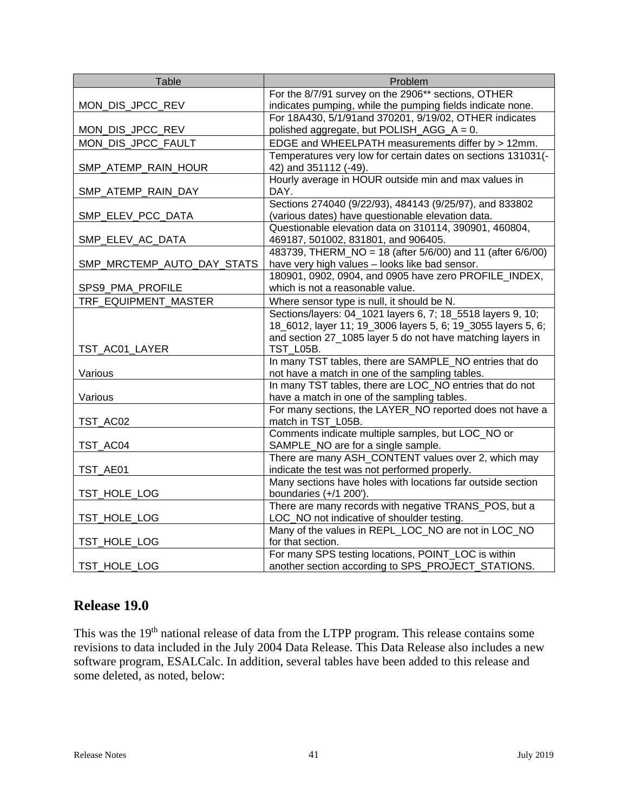| Table                      | Problem                                                                                                                    |
|----------------------------|----------------------------------------------------------------------------------------------------------------------------|
|                            | For the 8/7/91 survey on the 2906** sections, OTHER                                                                        |
| MON_DIS_JPCC_REV           | indicates pumping, while the pumping fields indicate none.                                                                 |
|                            | For 18A430, 5/1/91and 370201, 9/19/02, OTHER indicates                                                                     |
| MON_DIS_JPCC_REV           | polished aggregate, but POLISH_AGG_A = 0.                                                                                  |
| MON_DIS_JPCC_FAULT         | EDGE and WHEELPATH measurements differ by > 12mm.                                                                          |
|                            | Temperatures very low for certain dates on sections 131031(-                                                               |
| SMP_ATEMP_RAIN_HOUR        | 42) and 351112 (-49).                                                                                                      |
|                            | Hourly average in HOUR outside min and max values in                                                                       |
| SMP_ATEMP_RAIN_DAY         | DAY.                                                                                                                       |
|                            | Sections 274040 (9/22/93), 484143 (9/25/97), and 833802                                                                    |
| SMP_ELEV_PCC_DATA          | (various dates) have questionable elevation data.                                                                          |
|                            | Questionable elevation data on 310114, 390901, 460804,                                                                     |
| SMP_ELEV_AC_DATA           | 469187, 501002, 831801, and 906405.                                                                                        |
|                            | 483739, THERM_NO = 18 (after 5/6/00) and 11 (after 6/6/00)                                                                 |
| SMP_MRCTEMP_AUTO_DAY_STATS | have very high values - looks like bad sensor.                                                                             |
|                            | 180901, 0902, 0904, and 0905 have zero PROFILE_INDEX,<br>which is not a reasonable value.                                  |
| SPS9_PMA_PROFILE           |                                                                                                                            |
| TRF EQUIPMENT MASTER       | Where sensor type is null, it should be N.                                                                                 |
|                            | Sections/layers: 04_1021 layers 6, 7; 18_5518 layers 9, 10;                                                                |
|                            | 18_6012, layer 11; 19_3006 layers 5, 6; 19_3055 layers 5, 6;<br>and section 27_1085 layer 5 do not have matching layers in |
| TST_AC01_LAYER             | TST_L05B.                                                                                                                  |
|                            | In many TST tables, there are SAMPLE_NO entries that do                                                                    |
| Various                    | not have a match in one of the sampling tables.                                                                            |
|                            | In many TST tables, there are LOC NO entries that do not                                                                   |
| Various                    | have a match in one of the sampling tables.                                                                                |
|                            | For many sections, the LAYER_NO reported does not have a                                                                   |
| TST_AC02                   | match in TST_L05B.                                                                                                         |
|                            | Comments indicate multiple samples, but LOC_NO or                                                                          |
| TST_AC04                   | SAMPLE_NO are for a single sample.                                                                                         |
|                            | There are many ASH_CONTENT values over 2, which may                                                                        |
| TST_AE01                   | indicate the test was not performed properly.                                                                              |
|                            | Many sections have holes with locations far outside section                                                                |
| TST_HOLE_LOG               | boundaries (+/1 200').                                                                                                     |
|                            | There are many records with negative TRANS_POS, but a                                                                      |
| TST_HOLE_LOG               | LOC_NO not indicative of shoulder testing.                                                                                 |
|                            | Many of the values in REPL_LOC_NO are not in LOC_NO                                                                        |
| TST_HOLE_LOG               | for that section.                                                                                                          |
|                            | For many SPS testing locations, POINT_LOC is within                                                                        |
| TST_HOLE_LOG               | another section according to SPS_PROJECT_STATIONS.                                                                         |

# **Release 19.0**

This was the 19<sup>th</sup> national release of data from the LTPP program. This release contains some revisions to data included in the July 2004 Data Release. This Data Release also includes a new software program, ESALCalc. In addition, several tables have been added to this release and some deleted, as noted, below: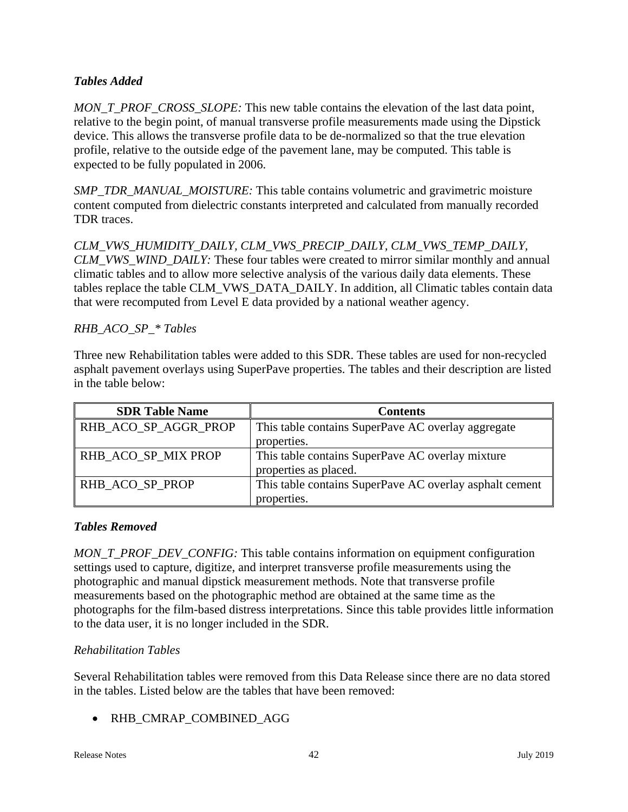## *Tables Added*

*MON\_T\_PROF\_CROSS\_SLOPE:* This new table contains the elevation of the last data point, relative to the begin point, of manual transverse profile measurements made using the Dipstick device. This allows the transverse profile data to be de-normalized so that the true elevation profile, relative to the outside edge of the pavement lane, may be computed. This table is expected to be fully populated in 2006.

*SMP\_TDR\_MANUAL\_MOISTURE:* This table contains volumetric and gravimetric moisture content computed from dielectric constants interpreted and calculated from manually recorded TDR traces.

*CLM\_VWS\_HUMIDITY\_DAILY, CLM\_VWS\_PRECIP\_DAILY, CLM\_VWS\_TEMP\_DAILY, CLM\_VWS\_WIND\_DAILY:* These four tables were created to mirror similar monthly and annual climatic tables and to allow more selective analysis of the various daily data elements. These tables replace the table CLM\_VWS\_DATA\_DAILY. In addition, all Climatic tables contain data that were recomputed from Level E data provided by a national weather agency.

## *RHB\_ACO\_SP\_\* Tables*

Three new Rehabilitation tables were added to this SDR. These tables are used for non-recycled asphalt pavement overlays using SuperPave properties. The tables and their description are listed in the table below:

| <b>SDR Table Name</b> | <b>Contents</b>                                         |
|-----------------------|---------------------------------------------------------|
| RHB_ACO_SP_AGGR_PROP  | This table contains SuperPave AC overlay aggregate      |
|                       | properties.                                             |
| RHB_ACO_SP_MIX PROP   | This table contains SuperPave AC overlay mixture        |
|                       | properties as placed.                                   |
| RHB ACO SP PROP       | This table contains SuperPave AC overlay asphalt cement |
|                       | properties.                                             |

## *Tables Removed*

*MON\_T\_PROF\_DEV\_CONFIG:* This table contains information on equipment configuration settings used to capture, digitize, and interpret transverse profile measurements using the photographic and manual dipstick measurement methods. Note that transverse profile measurements based on the photographic method are obtained at the same time as the photographs for the film-based distress interpretations. Since this table provides little information to the data user, it is no longer included in the SDR.

## *Rehabilitation Tables*

Several Rehabilitation tables were removed from this Data Release since there are no data stored in the tables. Listed below are the tables that have been removed:

RHB\_CMRAP\_COMBINED\_AGG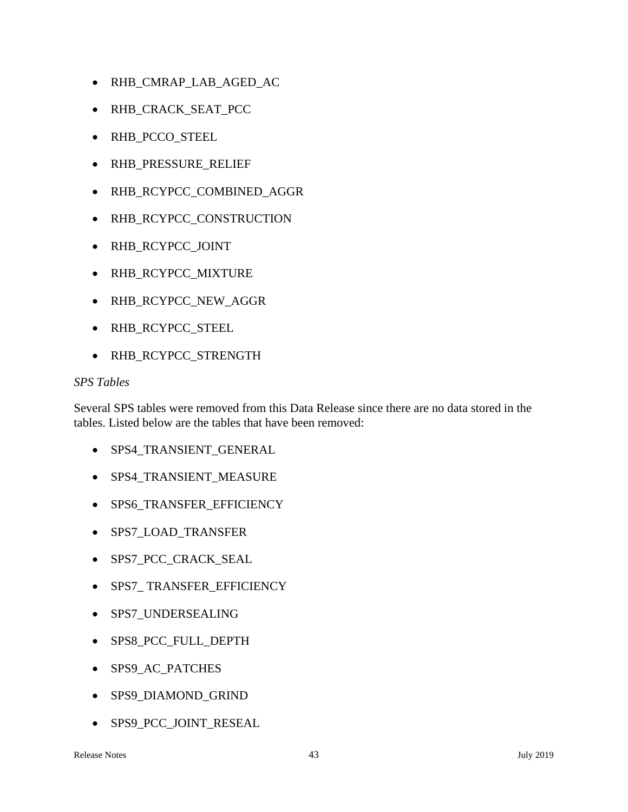- RHB\_CMRAP\_LAB\_AGED\_AC
- RHB\_CRACK\_SEAT\_PCC
- RHB\_PCCO\_STEEL
- RHB\_PRESSURE\_RELIEF
- RHB\_RCYPCC\_COMBINED\_AGGR
- RHB\_RCYPCC\_CONSTRUCTION
- RHB\_RCYPCC\_JOINT
- RHB\_RCYPCC\_MIXTURE
- RHB\_RCYPCC\_NEW\_AGGR
- RHB\_RCYPCC\_STEEL
- RHB\_RCYPCC\_STRENGTH

#### *SPS Tables*

Several SPS tables were removed from this Data Release since there are no data stored in the tables. Listed below are the tables that have been removed:

- SPS4\_TRANSIENT\_GENERAL
- SPS4\_TRANSIENT\_MEASURE
- SPS6\_TRANSFER\_EFFICIENCY
- SPS7\_LOAD\_TRANSFER
- SPS7\_PCC\_CRACK\_SEAL
- SPS7\_ TRANSFER\_EFFICIENCY
- SPS7\_UNDERSEALING
- SPS8\_PCC\_FULL\_DEPTH
- SPS9\_AC\_PATCHES
- SPS9\_DIAMOND\_GRIND
- SPS9\_PCC\_JOINT\_RESEAL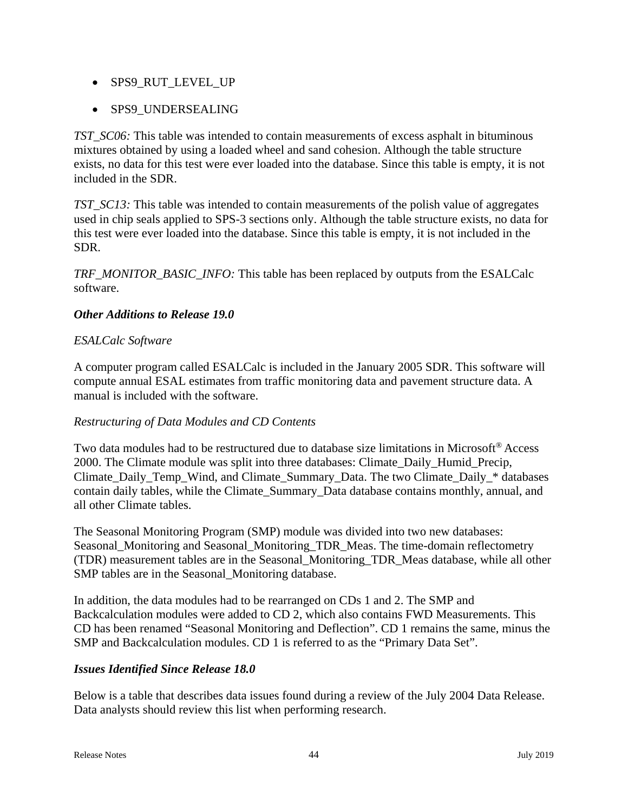- SPS9 RUT LEVEL UP
- SPS9\_UNDERSEALING

*TST\_SC06:* This table was intended to contain measurements of excess asphalt in bituminous mixtures obtained by using a loaded wheel and sand cohesion. Although the table structure exists, no data for this test were ever loaded into the database. Since this table is empty, it is not included in the SDR.

*TST\_SC13:* This table was intended to contain measurements of the polish value of aggregates used in chip seals applied to SPS-3 sections only. Although the table structure exists, no data for this test were ever loaded into the database. Since this table is empty, it is not included in the SDR.

*TRF\_MONITOR\_BASIC\_INFO:* This table has been replaced by outputs from the ESALCalc software.

#### *Other Additions to Release 19.0*

#### *ESALCalc Software*

A computer program called ESALCalc is included in the January 2005 SDR. This software will compute annual ESAL estimates from traffic monitoring data and pavement structure data. A manual is included with the software.

#### *Restructuring of Data Modules and CD Contents*

Two data modules had to be restructured due to database size limitations in Microsoft® Access 2000. The Climate module was split into three databases: Climate\_Daily\_Humid\_Precip, Climate\_Daily\_Temp\_Wind, and Climate\_Summary\_Data. The two Climate\_Daily\_\* databases contain daily tables, while the Climate\_Summary\_Data database contains monthly, annual, and all other Climate tables.

The Seasonal Monitoring Program (SMP) module was divided into two new databases: Seasonal Monitoring and Seasonal Monitoring TDR Meas. The time-domain reflectometry (TDR) measurement tables are in the Seasonal\_Monitoring\_TDR\_Meas database, while all other SMP tables are in the Seasonal\_Monitoring database.

In addition, the data modules had to be rearranged on CDs 1 and 2. The SMP and Backcalculation modules were added to CD 2, which also contains FWD Measurements. This CD has been renamed "Seasonal Monitoring and Deflection". CD 1 remains the same, minus the SMP and Backcalculation modules. CD 1 is referred to as the "Primary Data Set".

## *Issues Identified Since Release 18.0*

Below is a table that describes data issues found during a review of the July 2004 Data Release. Data analysts should review this list when performing research.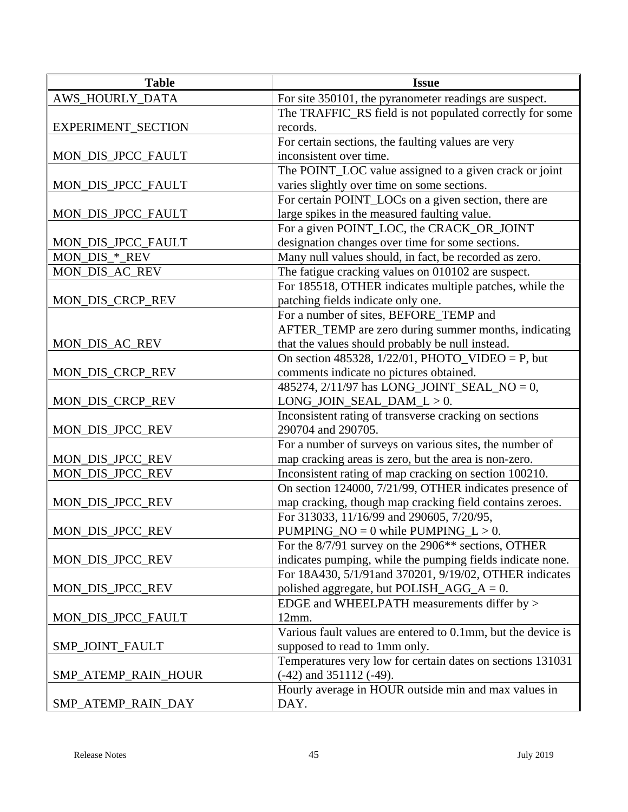| <b>Table</b>                         | <b>Issue</b>                                                                                                    |
|--------------------------------------|-----------------------------------------------------------------------------------------------------------------|
| AWS_HOURLY_DATA                      | For site 350101, the pyranometer readings are suspect.                                                          |
|                                      | The TRAFFIC_RS field is not populated correctly for some                                                        |
| EXPERIMENT_SECTION                   | records.                                                                                                        |
|                                      | For certain sections, the faulting values are very                                                              |
| MON_DIS_JPCC_FAULT                   | inconsistent over time.                                                                                         |
|                                      | The POINT_LOC value assigned to a given crack or joint                                                          |
| MON_DIS_JPCC_FAULT                   | varies slightly over time on some sections.                                                                     |
|                                      | For certain POINT_LOCs on a given section, there are                                                            |
| MON_DIS_JPCC_FAULT                   | large spikes in the measured faulting value.                                                                    |
|                                      | For a given POINT_LOC, the CRACK_OR_JOINT                                                                       |
| MON_DIS_JPCC_FAULT                   | designation changes over time for some sections.                                                                |
| MON_DIS_*_REV                        | Many null values should, in fact, be recorded as zero.                                                          |
| MON_DIS_AC_REV                       | The fatigue cracking values on 010102 are suspect.                                                              |
|                                      | For 185518, OTHER indicates multiple patches, while the                                                         |
| MON_DIS_CRCP_REV                     | patching fields indicate only one.                                                                              |
|                                      | For a number of sites, BEFORE_TEMP and                                                                          |
|                                      | AFTER_TEMP are zero during summer months, indicating                                                            |
| MON_DIS_AC_REV                       | that the values should probably be null instead.                                                                |
|                                      | On section 485328, $1/22/01$ , PHOTO_VIDEO = P, but                                                             |
| MON_DIS_CRCP_REV                     | comments indicate no pictures obtained.                                                                         |
|                                      | 485274, 2/11/97 has LONG_JOINT_SEAL_NO = 0,                                                                     |
| MON_DIS_CRCP_REV                     | $LONG_JOIN_SEAL_DAM_L > 0.$                                                                                     |
|                                      | Inconsistent rating of transverse cracking on sections                                                          |
| MON_DIS_JPCC_REV                     | 290704 and 290705.                                                                                              |
|                                      | For a number of surveys on various sites, the number of                                                         |
| MON_DIS_JPCC_REV<br>MON_DIS_JPCC_REV | map cracking areas is zero, but the area is non-zero.<br>Inconsistent rating of map cracking on section 100210. |
|                                      | On section 124000, 7/21/99, OTHER indicates presence of                                                         |
| MON_DIS_JPCC_REV                     | map cracking, though map cracking field contains zeroes.                                                        |
|                                      | For 313033, 11/16/99 and 290605, 7/20/95,                                                                       |
| MON_DIS_JPCC_REV                     | PUMPING_NO = $0$ while PUMPING_L > 0.                                                                           |
|                                      | For the 8/7/91 survey on the 2906** sections, OTHER                                                             |
| MON_DIS_JPCC_REV                     | indicates pumping, while the pumping fields indicate none.                                                      |
|                                      | For 18A430, 5/1/91 and 370201, 9/19/02, OTHER indicates                                                         |
| MON_DIS_JPCC_REV                     | polished aggregate, but POLISH_AGG_ $A = 0$ .                                                                   |
|                                      | EDGE and WHEELPATH measurements differ by >                                                                     |
| MON_DIS_JPCC_FAULT                   | 12mm.                                                                                                           |
|                                      | Various fault values are entered to 0.1mm, but the device is                                                    |
| SMP_JOINT_FAULT                      | supposed to read to 1mm only.                                                                                   |
|                                      | Temperatures very low for certain dates on sections 131031                                                      |
| SMP_ATEMP_RAIN_HOUR                  | $(-42)$ and $351112$ $(-49)$ .                                                                                  |
|                                      | Hourly average in HOUR outside min and max values in                                                            |
| SMP_ATEMP_RAIN_DAY                   | DAY.                                                                                                            |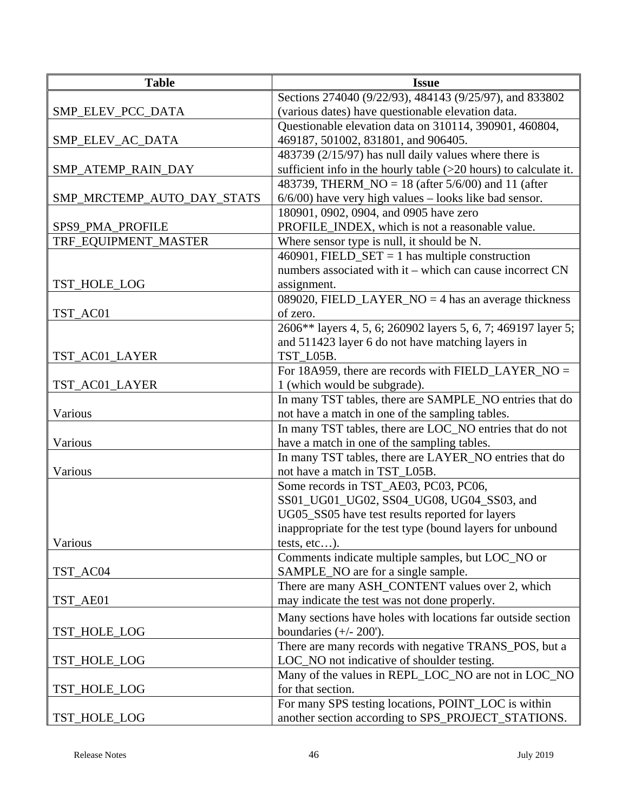| <b>Table</b>               | <b>Issue</b>                                                       |
|----------------------------|--------------------------------------------------------------------|
|                            | Sections 274040 (9/22/93), 484143 (9/25/97), and 833802            |
| SMP_ELEV_PCC_DATA          | (various dates) have questionable elevation data.                  |
|                            | Questionable elevation data on 310114, 390901, 460804,             |
| SMP_ELEV_AC_DATA           | 469187, 501002, 831801, and 906405.                                |
|                            | 483739 (2/15/97) has null daily values where there is              |
| SMP_ATEMP_RAIN_DAY         | sufficient info in the hourly table $(>20$ hours) to calculate it. |
|                            | 483739, THERM $NO = 18$ (after 5/6/00) and 11 (after               |
| SMP_MRCTEMP_AUTO_DAY_STATS | $6/6/00$ ) have very high values – looks like bad sensor.          |
|                            | 180901, 0902, 0904, and 0905 have zero                             |
| SPS9_PMA_PROFILE           | PROFILE_INDEX, which is not a reasonable value.                    |
| TRF_EQUIPMENT_MASTER       | Where sensor type is null, it should be N.                         |
|                            | 460901, FIELD_SET = 1 has multiple construction                    |
|                            | numbers associated with it – which can cause incorrect CN          |
| TST_HOLE_LOG               | assignment.                                                        |
|                            | 089020, FIELD_LAYER_NO = 4 has an average thickness                |
| TST_AC01                   | of zero.                                                           |
|                            | 2606** layers 4, 5, 6; 260902 layers 5, 6, 7; 469197 layer 5;      |
|                            | and 511423 layer 6 do not have matching layers in                  |
| TST_AC01_LAYER             | TST_L05B.                                                          |
|                            | For 18A959, there are records with FIELD_LAYER_NO =                |
| TST_AC01_LAYER             | 1 (which would be subgrade).                                       |
|                            | In many TST tables, there are SAMPLE_NO entries that do            |
| Various                    | not have a match in one of the sampling tables.                    |
|                            | In many TST tables, there are LOC_NO entries that do not           |
| Various                    | have a match in one of the sampling tables.                        |
|                            | In many TST tables, there are LAYER_NO entries that do             |
| Various                    | not have a match in TST_L05B.                                      |
|                            | Some records in TST_AE03, PC03, PC06,                              |
|                            | SS01_UG01_UG02, SS04_UG08, UG04_SS03, and                          |
|                            | UG05_SS05 have test results reported for layers                    |
|                            | inappropriate for the test type (bound layers for unbound          |
| Various                    | tests, $etc$ ).                                                    |
|                            | Comments indicate multiple samples, but LOC_NO or                  |
| TST_AC04                   | SAMPLE_NO are for a single sample.                                 |
|                            | There are many ASH_CONTENT values over 2, which                    |
| TST_AE01                   | may indicate the test was not done properly.                       |
|                            | Many sections have holes with locations far outside section        |
| TST_HOLE_LOG               | boundaries $(+/- 200')$ .                                          |
|                            | There are many records with negative TRANS_POS, but a              |
| TST_HOLE_LOG               | LOC_NO not indicative of shoulder testing.                         |
|                            | Many of the values in REPL_LOC_NO are not in LOC_NO                |
| TST_HOLE_LOG               | for that section.                                                  |
|                            | For many SPS testing locations, POINT_LOC is within                |
| TST_HOLE_LOG               | another section according to SPS_PROJECT_STATIONS.                 |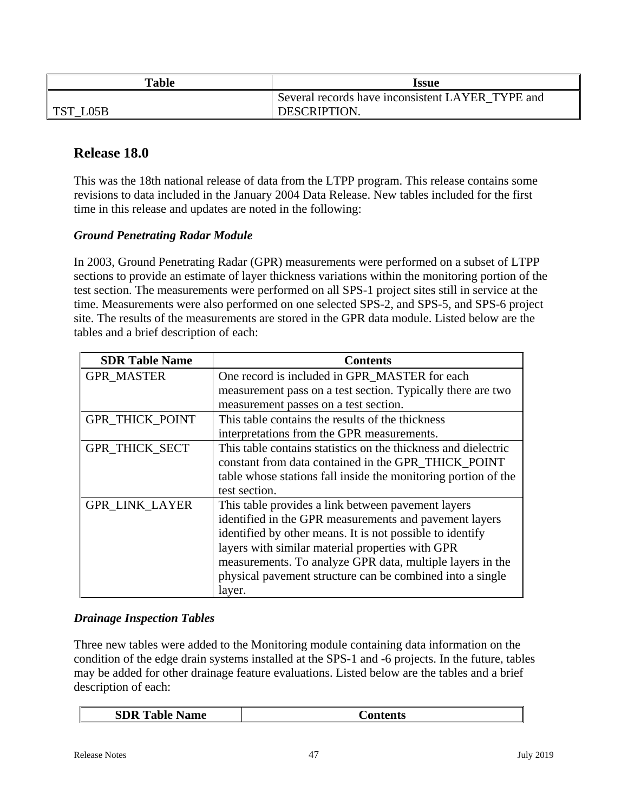| <b>Table</b>   | Issue                                            |
|----------------|--------------------------------------------------|
|                | Several records have inconsistent LAYER TYPE and |
| ' TST_<br>LO5B | <b>DESCRIPTION</b>                               |

# **Release 18.0**

This was the 18th national release of data from the LTPP program. This release contains some revisions to data included in the January 2004 Data Release. New tables included for the first time in this release and updates are noted in the following:

#### *Ground Penetrating Radar Module*

In 2003, Ground Penetrating Radar (GPR) measurements were performed on a subset of LTPP sections to provide an estimate of layer thickness variations within the monitoring portion of the test section. The measurements were performed on all SPS-1 project sites still in service at the time. Measurements were also performed on one selected SPS-2, and SPS-5, and SPS-6 project site. The results of the measurements are stored in the GPR data module. Listed below are the tables and a brief description of each:

| <b>SDR Table Name</b>  | <b>Contents</b>                                                |
|------------------------|----------------------------------------------------------------|
| <b>GPR MASTER</b>      | One record is included in GPR_MASTER for each                  |
|                        | measurement pass on a test section. Typically there are two    |
|                        | measurement passes on a test section.                          |
| <b>GPR_THICK_POINT</b> | This table contains the results of the thickness               |
|                        | interpretations from the GPR measurements.                     |
| <b>GPR THICK SECT</b>  | This table contains statistics on the thickness and dielectric |
|                        | constant from data contained in the GPR_THICK_POINT            |
|                        | table whose stations fall inside the monitoring portion of the |
|                        | test section.                                                  |
| <b>GPR LINK LAYER</b>  | This table provides a link between pavement layers             |
|                        | identified in the GPR measurements and pavement layers         |
|                        | identified by other means. It is not possible to identify      |
|                        | layers with similar material properties with GPR               |
|                        | measurements. To analyze GPR data, multiple layers in the      |
|                        | physical pavement structure can be combined into a single      |
|                        | layer.                                                         |

#### *Drainage Inspection Tables*

Three new tables were added to the Monitoring module containing data information on the condition of the edge drain systems installed at the SPS-1 and -6 projects. In the future, tables may be added for other drainage feature evaluations. Listed below are the tables and a brief description of each: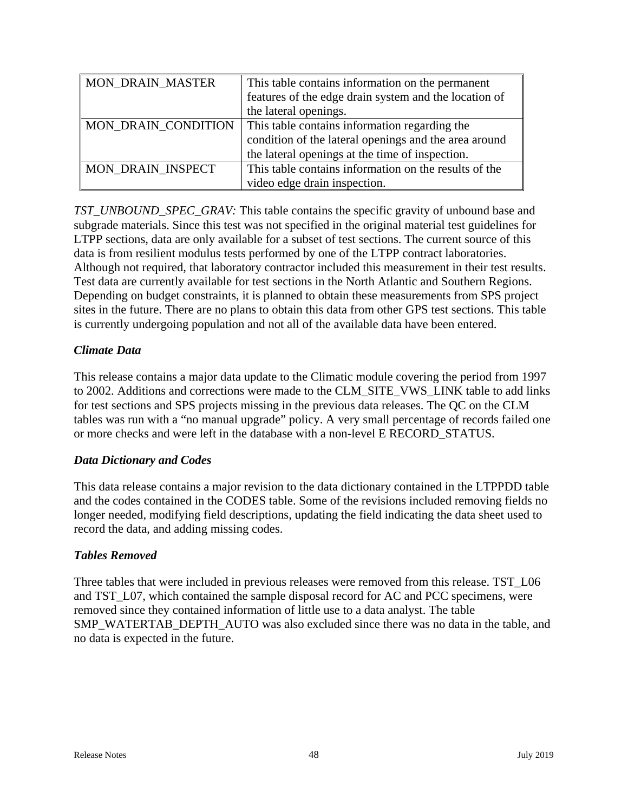| MON_DRAIN_MASTER    | This table contains information on the permanent      |
|---------------------|-------------------------------------------------------|
|                     | features of the edge drain system and the location of |
|                     | the lateral openings.                                 |
| MON_DRAIN_CONDITION | This table contains information regarding the         |
|                     | condition of the lateral openings and the area around |
|                     | the lateral openings at the time of inspection.       |
| MON DRAIN INSPECT   | This table contains information on the results of the |
|                     | video edge drain inspection.                          |

*TST\_UNBOUND\_SPEC\_GRAV:* This table contains the specific gravity of unbound base and subgrade materials. Since this test was not specified in the original material test guidelines for LTPP sections, data are only available for a subset of test sections. The current source of this data is from resilient modulus tests performed by one of the LTPP contract laboratories. Although not required, that laboratory contractor included this measurement in their test results. Test data are currently available for test sections in the North Atlantic and Southern Regions. Depending on budget constraints, it is planned to obtain these measurements from SPS project sites in the future. There are no plans to obtain this data from other GPS test sections. This table is currently undergoing population and not all of the available data have been entered.

#### *Climate Data*

This release contains a major data update to the Climatic module covering the period from 1997 to 2002. Additions and corrections were made to the CLM\_SITE\_VWS\_LINK table to add links for test sections and SPS projects missing in the previous data releases. The QC on the CLM tables was run with a "no manual upgrade" policy. A very small percentage of records failed one or more checks and were left in the database with a non-level E RECORD\_STATUS.

#### *Data Dictionary and Codes*

This data release contains a major revision to the data dictionary contained in the LTPPDD table and the codes contained in the CODES table. Some of the revisions included removing fields no longer needed, modifying field descriptions, updating the field indicating the data sheet used to record the data, and adding missing codes.

#### *Tables Removed*

Three tables that were included in previous releases were removed from this release. TST L06 and TST\_L07, which contained the sample disposal record for AC and PCC specimens, were removed since they contained information of little use to a data analyst. The table SMP\_WATERTAB\_DEPTH\_AUTO was also excluded since there was no data in the table, and no data is expected in the future.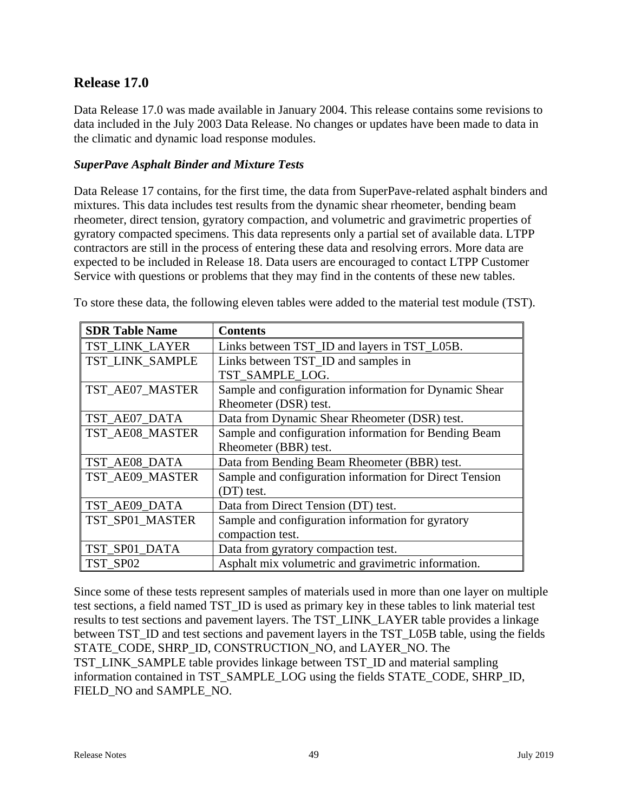# **Release 17.0**

Data Release 17.0 was made available in January 2004. This release contains some revisions to data included in the July 2003 Data Release. No changes or updates have been made to data in the climatic and dynamic load response modules.

#### *SuperPave Asphalt Binder and Mixture Tests*

Data Release 17 contains, for the first time, the data from SuperPave-related asphalt binders and mixtures. This data includes test results from the dynamic shear rheometer, bending beam rheometer, direct tension, gyratory compaction, and volumetric and gravimetric properties of gyratory compacted specimens. This data represents only a partial set of available data. LTPP contractors are still in the process of entering these data and resolving errors. More data are expected to be included in Release 18. Data users are encouraged to contact LTPP Customer Service with questions or problems that they may find in the contents of these new tables.

| <b>SDR Table Name</b> | <b>Contents</b>                                         |
|-----------------------|---------------------------------------------------------|
| TST LINK LAYER        | Links between TST_ID and layers in TST_L05B.            |
| TST LINK SAMPLE       | Links between TST_ID and samples in                     |
|                       | TST_SAMPLE_LOG.                                         |
| TST_AE07_MASTER       | Sample and configuration information for Dynamic Shear  |
|                       | Rheometer (DSR) test.                                   |
| TST_AE07_DATA         | Data from Dynamic Shear Rheometer (DSR) test.           |
| TST_AE08_MASTER       | Sample and configuration information for Bending Beam   |
|                       | Rheometer (BBR) test.                                   |
| TST_AE08_DATA         | Data from Bending Beam Rheometer (BBR) test.            |
| TST_AE09_MASTER       | Sample and configuration information for Direct Tension |
|                       | (DT) test.                                              |
| TST_AE09_DATA         | Data from Direct Tension (DT) test.                     |
| TST_SP01_MASTER       | Sample and configuration information for gyratory       |
|                       | compaction test.                                        |
| TST_SP01_DATA         | Data from gyratory compaction test.                     |
| TST SP02              | Asphalt mix volumetric and gravimetric information.     |

To store these data, the following eleven tables were added to the material test module (TST).

Since some of these tests represent samples of materials used in more than one layer on multiple test sections, a field named TST\_ID is used as primary key in these tables to link material test results to test sections and pavement layers. The TST\_LINK\_LAYER table provides a linkage between TST\_ID and test sections and pavement layers in the TST\_L05B table, using the fields STATE\_CODE, SHRP\_ID, CONSTRUCTION\_NO, and LAYER\_NO. The TST\_LINK\_SAMPLE table provides linkage between TST\_ID and material sampling information contained in TST\_SAMPLE\_LOG using the fields STATE\_CODE, SHRP\_ID, FIELD\_NO and SAMPLE\_NO.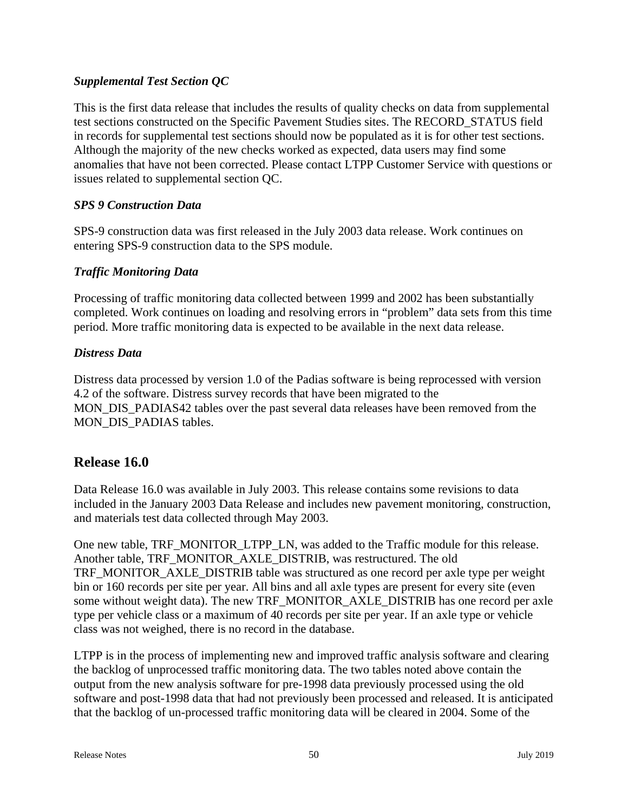## *Supplemental Test Section QC*

This is the first data release that includes the results of quality checks on data from supplemental test sections constructed on the Specific Pavement Studies sites. The RECORD\_STATUS field in records for supplemental test sections should now be populated as it is for other test sections. Although the majority of the new checks worked as expected, data users may find some anomalies that have not been corrected. Please contact LTPP Customer Service with questions or issues related to supplemental section QC.

## *SPS 9 Construction Data*

SPS-9 construction data was first released in the July 2003 data release. Work continues on entering SPS-9 construction data to the SPS module.

## *Traffic Monitoring Data*

Processing of traffic monitoring data collected between 1999 and 2002 has been substantially completed. Work continues on loading and resolving errors in "problem" data sets from this time period. More traffic monitoring data is expected to be available in the next data release.

## *Distress Data*

Distress data processed by version 1.0 of the Padias software is being reprocessed with version 4.2 of the software. Distress survey records that have been migrated to the MON\_DIS\_PADIAS42 tables over the past several data releases have been removed from the MON DIS PADIAS tables.

# **Release 16.0**

Data Release 16.0 was available in July 2003. This release contains some revisions to data included in the January 2003 Data Release and includes new pavement monitoring, construction, and materials test data collected through May 2003.

One new table, TRF\_MONITOR\_LTPP\_LN, was added to the Traffic module for this release. Another table, TRF\_MONITOR\_AXLE\_DISTRIB, was restructured. The old TRF\_MONITOR\_AXLE\_DISTRIB table was structured as one record per axle type per weight bin or 160 records per site per year. All bins and all axle types are present for every site (even some without weight data). The new TRF\_MONITOR\_AXLE\_DISTRIB has one record per axle type per vehicle class or a maximum of 40 records per site per year. If an axle type or vehicle class was not weighed, there is no record in the database.

LTPP is in the process of implementing new and improved traffic analysis software and clearing the backlog of unprocessed traffic monitoring data. The two tables noted above contain the output from the new analysis software for pre-1998 data previously processed using the old software and post-1998 data that had not previously been processed and released. It is anticipated that the backlog of un-processed traffic monitoring data will be cleared in 2004. Some of the